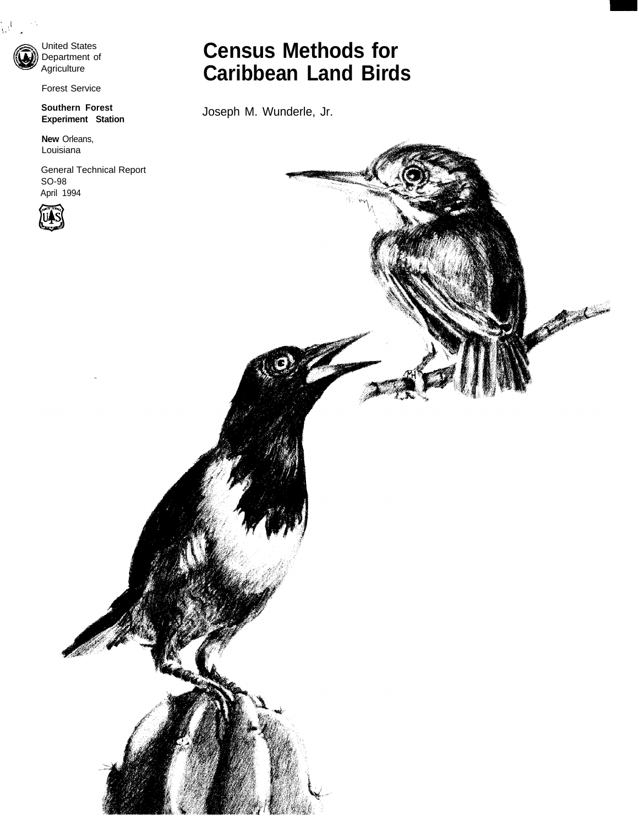

 $\frac{1}{2}$ .  $\frac{1}{2}$ 

United States Department of **Agriculture** 

Forest Service

**Southern Forest Experiment Station**

**New** Orleans, Louisiana

General Technical Report SO-98 April 1994



# **Census Methods for Caribbean Land Birds**

Joseph M. Wunderle, Jr.

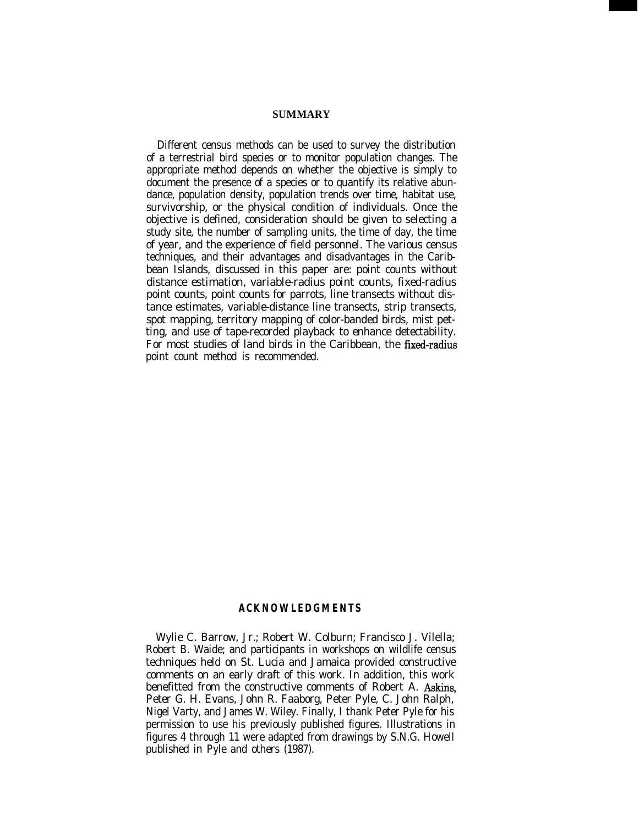#### **SUMMARY**

Different census methods can be used to survey the distribution of a terrestrial bird species or to monitor population changes. The appropriate method depends on whether the objective is simply to document the presence of a species or to quantify its relative abundance, population density, population trends over time, habitat use, survivorship, or the physical condition of individuals. Once the objective is defined, consideration should be given to selecting a study site, the number of sampling units, the time of day, the time of year, and the experience of field personnel. The various census techniques, and their advantages and disadvantages in the Caribbean Islands, discussed in this paper are: point counts without distance estimation, variable-radius point counts, fixed-radius point counts, point counts for parrots, line transects without distance estimates, variable-distance line transects, strip transects, spot mapping, territory mapping of color-banded birds, mist petting, and use of tape-recorded playback to enhance detectability. For most studies of land birds in the Caribbean, the fixed-radius point count method is recommended.

#### **ACKNOWLEDGMENTS**

Wylie C. Barrow, Jr.; Robert W. Colburn; Francisco J. Vilella; Robert B. Waide; and participants in workshops on wildlife census techniques held on St. Lucia and Jamaica provided constructive comments on an early draft of this work. In addition, this work benefitted from the constructive comments of Robert A. Askins, Peter G. H. Evans, John R. Faaborg, Peter Pyle, C. John Ralph, Nigel Varty, and James W. Wiley. Finally, I thank Peter Pyle for his permission to use his previously published figures. Illustrations in figures 4 through 11 were adapted from drawings by S.N.G. Howell published in Pyle and others (1987).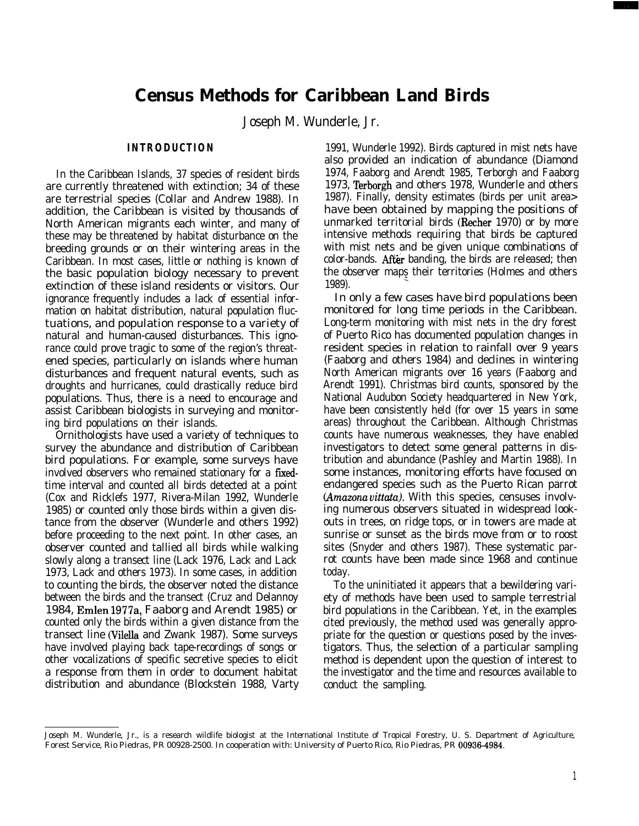# **Census Methods for Caribbean Land Birds**

Joseph M. Wunderle, Jr.

#### **INTRODUCTION**

In the Caribbean Islands, 37 species of resident birds are currently threatened with extinction; 34 of these are terrestrial species (Collar and Andrew 1988). In addition, the Caribbean is visited by thousands of North American migrants each winter, and many of these may be threatened by habitat disturbance on the breeding grounds or on their wintering areas in the Caribbean. In most cases, little or nothing is known of the basic population biology necessary to prevent extinction of these island residents or visitors. Our ignorance frequently includes a lack of essential information on habitat distribution, natural population fluctuations, and population response to a variety of natural and human-caused disturbances. This ignorance could prove tragic to some of the region's threatened species, particularly on islands where human disturbances and frequent natural events, such as droughts and hurricanes, could drastically reduce bird populations. Thus, there is a need to encourage and assist Caribbean biologists in surveying and monitoring bird populations on their islands.

Ornithologists have used a variety of techniques to survey the abundance and distribution of Caribbean bird populations. For example, some surveys have involved observers who remained stationary for a fixedtime interval and counted all birds detected at a point (Cox and Ricklefs 1977, Rivera-Milan 1992, Wunderle 1985) or counted only those birds within a given distance from the observer (Wunderle and others 1992) before proceeding to the next point. In other cases, an observer counted and tallied all birds while walking slowly along a transect line (Lack 1976, Lack and Lack 1973, Lack and others 1973). In some cases, in addition to counting the birds, the observer noted the distance between the birds and the transect (Cruz and Delannoy 1984, Emlen 1977a, Faaborg and Arendt 1985) or counted only the birds within a given distance from the transect line (Vilella and Zwank 1987). Some surveys have involved playing back tape-recordings of songs or other vocalizations of specific secretive species to elicit a response from them in order to document habitat distribution and abundance (Blockstein 1988, Varty

1991, Wunderle 1992). Birds captured in mist nets have also provided an indication of abundance (Diamond 1974, Faaborg and Arendt 1985, Terborgh and Faaborg 1973, Terborgh and others 1978, Wunderle and others 1987). Finally, density estimates (birds per unit area> have been obtained by mapping the positions of unmarked territorial birds (Recher 1970) or by more intensive methods requiring that birds be captured with mist nets and be given unique combinations of color-bands. After banding, the birds are released; then the observer maps their territories (Holmes and others 1989).

In only a few cases have bird populations been monitored for long time periods in the Caribbean. Long-term monitoring with mist nets in the dry forest of Puerto Rico has documented population changes in resident species in relation to rainfall over 9 years (Faaborg and others 1984) and declines in wintering North American migrants over 16 years (Faaborg and Arendt 1991). Christmas bird counts, sponsored by the National Audubon Society headquartered in New York, have been consistently held (for over 15 years in some areas) throughout the Caribbean. Although Christmas counts have numerous weaknesses, they have enabled investigators to detect some general patterns in distribution and abundance (Pashley and Martin 1988). In some instances, monitoring efforts have focused on endangered species such as the Puerto Rican parrot *(Amazona vittatu).* With this species, censuses involving numerous observers situated in widespread lookouts in trees, on ridge tops, or in towers are made at sunrise or sunset as the birds move from or to roost sites (Snyder and others 1987). These systematic parrot counts have been made since 1968 and continue today.

To the uninitiated it appears that a bewildering variety of methods have been used to sample terrestrial bird populations in the Caribbean. Yet, in the examples cited previously, the method used was generally appropriate for the question or questions posed by the investigators. Thus, the selection of a particular sampling method is dependent upon the question of interest to the investigator and the time and resources available to conduct the sampling.

Joseph M. Wunderle, Jr., is a research wildlife biologist at the International Institute of Tropical Forestry, U. S. Department of Agriculture, Forest Service, Rio Piedras, PR 00928-2500. In cooperation with: University of Puerto Rico, Rio Piedras, PR 00936-4984.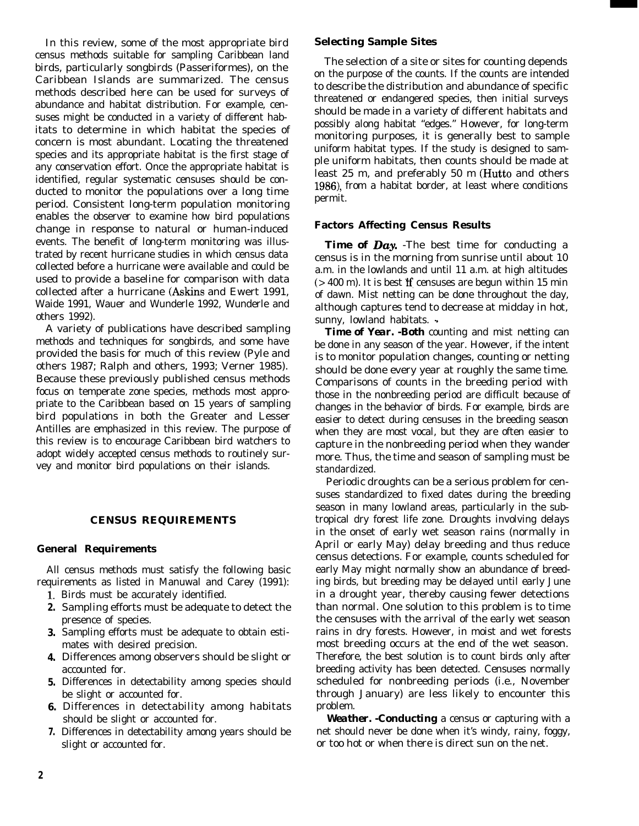In this review, some of the most appropriate bird census methods suitable for sampling Caribbean land birds, particularly songbirds (Passeriformes), on the Caribbean Islands are summarized. The census methods described here can be used for surveys of abundance and habitat distribution. For example, censuses might be conducted in a variety of different habitats to determine in which habitat the species of concern is most abundant. Locating the threatened species and its appropriate habitat is the first stage of any conservation effort. Once the appropriate habitat is identified, regular systematic censuses should be conducted to monitor the populations over a long time period. Consistent long-term population monitoring enables the observer to examine how bird populations change in response to natural or human-induced events. The benefit of long-term monitoring was illustrated by recent hurricane studies in which census data collected before a hurricane were available and could be used to provide a baseline for comparison with data collected after a hurricane (Askins and Ewert 1991, Waide 1991, Wauer and Wunderle 1992, Wunderle and others 1992).

A variety of publications have described sampling methods and techniques for songbirds, and some have provided the basis for much of this review (Pyle and others 1987; Ralph and others, 1993; Verner 1985). Because these previously published census methods focus on temperate zone species, methods most appropriate to the Caribbean based on 15 years of sampling bird populations in both the Greater and Lesser Antilles are emphasized in this review. The purpose of this review is to encourage Caribbean bird watchers to adopt widely accepted census methods to routinely survey and monitor bird populations on their islands.

#### **CENSUS REQUIREMENTS**

## **General Requirements**

All census methods must satisfy the following basic requirements as listed in Manuwal and Carey (1991):

- 1. Birds must be accurately identified.
- **2.** Sampling efforts must be adequate to detect the presence of species.
- **3.** Sampling efforts must be adequate to obtain estimates with desired precision.
- **4.** Differences among observers should be slight or accounted for.
- **5.** Differences in detectability among species should be slight or accounted for.
- **6.** Differences in detectability among habitats should be slight or accounted for.
- **7.** Differences in detectability among years should be slight or accounted for.

#### **Selecting Sample Sites**

The selection of a site or sites for counting depends on the purpose of the counts. If the counts are intended to describe the distribution and abundance of specific threatened or endangered species, then initial surveys should be made in a variety of different habitats and possibly along habitat "edges." However, for long-term monitoring purposes, it is generally best to sample uniform habitat types. If the study is designed to sample uniform habitats, then counts should be made at least 25 m, and preferably 50 m (Hutto and others 1986), from a habitat border, at least where conditions permit.

#### **Factors Affecting Census Results**

**Time of Day.** -The best time for conducting a census is in the morning from sunrise until about 10 a.m. in the lowlands and until 11 a.m. at high altitudes  $(> 400 \text{ m})$ . It is best if censuses are begun within 15 min of dawn. Mist netting can be done throughout the day, although captures tend to decrease at midday in hot, sunny, lowland habitats. -

*Time of Year. -Both* counting and mist netting can be done in any season of the year. However, if the intent is to monitor population changes, counting or netting should be done every year at roughly the same time. Comparisons of counts in the breeding period with those in the nonbreeding period are difficult because of changes in the behavior of birds. For example, birds are easier to detect during censuses in the breeding season when they are most vocal, but they are often easier to capture in the nonbreeding period when they wander more. Thus, the time and season of sampling must be standardized.

Periodic droughts can be a serious problem for censuses standardized to fixed dates during the breeding season in many lowland areas, particularly in the subtropical dry forest life zone. Droughts involving delays in the onset of early wet season rains (normally in April or early May) delay breeding and thus reduce census detections. For example, counts scheduled for early May might normally show an abundance of breeding birds, but breeding may be delayed until early June in a drought year, thereby causing fewer detections than normal. One solution to this problem is to time the censuses with the arrival of the early wet season rains in dry forests. However, in moist and wet forests most breeding occurs at the end of the wet season. Therefore, the best solution is to count birds only after breeding activity has been detected. Censuses normally scheduled for nonbreeding periods (i.e., November through January) are less likely to encounter this problem.

*Weather. -Conducting* a census or capturing with a net should never be done when it's windy, rainy, foggy, or too hot or when there is direct sun on the net.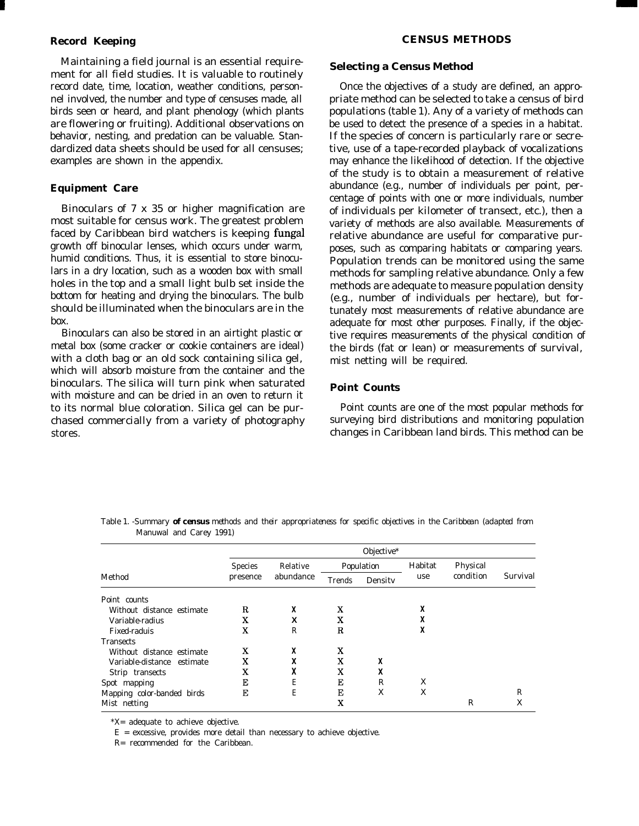#### **Record Keeping**

Maintaining a field journal is an essential requirement for all field studies. It is valuable to routinely record date, time, location, weather conditions, personnel involved, the number and type of censuses made, all birds seen or heard, and plant phenology (which plants are flowering or fruiting). Additional observations on behavior, nesting, and predation can be valuable. Standardized data sheets should be used for all censuses; examples are shown in the appendix.

#### **Equipment Care**

Binoculars of 7 x 35 or higher magnification are most suitable for census work. The greatest problem faced by Caribbean bird watchers is keeping fungal growth off binocular lenses, which occurs under warm, humid conditions. Thus, it is essential to store binoculars in a dry location, such as a wooden box with small holes in the top and a small light bulb set inside the bottom for heating and drying the binoculars. The bulb should be illuminated when the binoculars are in the box.

Binoculars can also be stored in an airtight plastic or metal box (some cracker or cookie containers are ideal) with a cloth bag or an old sock containing silica gel, which will absorb moisture from the container and the binoculars. The silica will turn pink when saturated with moisture and can be dried in an oven to return it to its normal blue coloration. Silica gel can be purchased commercially from a variety of photography stores.

#### **Selecting a Census Method**

Once the objectives of a study are defined, an appropriate method can be selected to take a census of bird populations (table 1). Any of a variety of methods can be used to detect the presence of a species in a habitat. If the species of concern is particularly rare or secretive, use of a tape-recorded playback of vocalizations may enhance the likelihood of detection. If the objective of the study is to obtain a measurement of relative abundance (e.g., number of individuals per point, percentage of points with one or more individuals, number of individuals per kilometer of transect, etc.), then a variety of methods are also available. Measurements of relative abundance are useful for comparative purposes, such as comparing habitats or comparing years. Population trends can be monitored using the same methods for sampling relative abundance. Only a few methods are adequate to measure population density (e.g., number of individuals per hectare), but fortunately most measurements of relative abundance are adequate for most other purposes. Finally, if the objective requires measurements of the physical condition of the birds (fat or lean) or measurements of survival, mist netting will be required.

#### **Point Counts**

Point counts are one of the most popular methods for surveying bird distributions and monitoring population changes in Caribbean land birds. This method can be

|                            | Objective*     |                       |        |            |         |                       |          |  |  |  |
|----------------------------|----------------|-----------------------|--------|------------|---------|-----------------------|----------|--|--|--|
|                            | <b>Species</b> | Relative<br>abundance |        | Population | Habitat | Physical<br>condition | Survival |  |  |  |
| Method                     | presence       |                       | Trends | Density    | use     |                       |          |  |  |  |
| Point counts               |                |                       |        |            |         |                       |          |  |  |  |
| Without distance estimate  | R              | X                     | x      |            | X       |                       |          |  |  |  |
| Variable-radius            | X              | X                     | x      |            | X       |                       |          |  |  |  |
| Fixed-raduis               | x              | R                     | R      |            | X       |                       |          |  |  |  |
| <b>Transects</b>           |                |                       |        |            |         |                       |          |  |  |  |
| Without distance estimate  | X              | X                     | x      |            |         |                       |          |  |  |  |
| Variable-distance estimate | x              | X                     | x      | X          |         |                       |          |  |  |  |
| Strip transects            | x              | X                     | x      | X          |         |                       |          |  |  |  |
| Spot mapping               | E              | E                     | E      | R          | X       |                       |          |  |  |  |
| Mapping color-banded birds | E              | E                     | Е      | X          | X       |                       | R        |  |  |  |
| Mist netting               |                |                       | x      |            |         | R                     | X        |  |  |  |

Table 1. *-Summary of census methods and their appropriateness for specific objectives in the Caribbean (adapted from Manuwal and* Carey *1991)*

\*X= adequate to achieve objective.

 $E$  = excessive, provides more detail than necessary to achieve objective.

R= recommended for the Caribbean.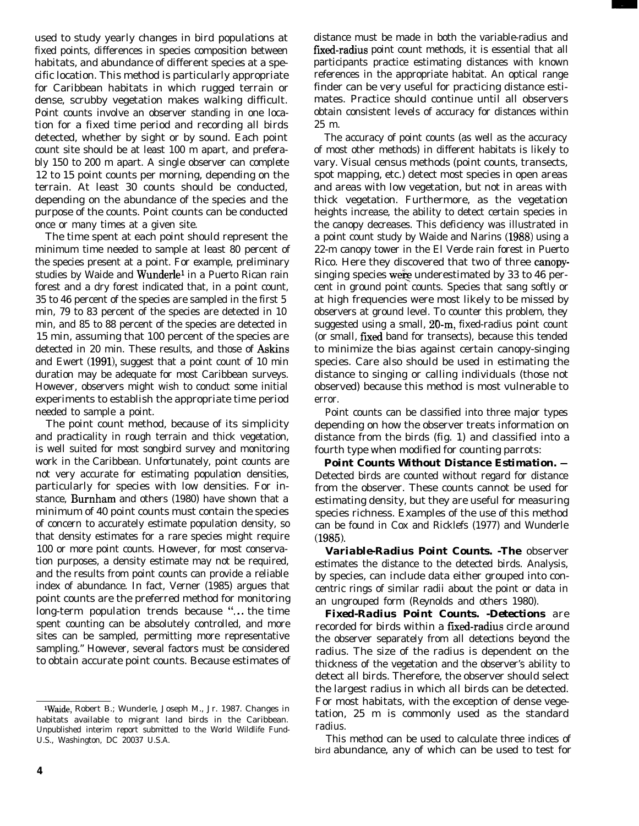used to study yearly changes in bird populations at fixed points, differences in species composition between habitats, and abundance of different species at a specific location. This method is particularly appropriate for Caribbean habitats in which rugged terrain or dense, scrubby vegetation makes walking difficult. Point counts involve an observer standing in one location for a fixed time period and recording all birds detected, whether by sight or by sound. Each point count site should be at least 100 m apart, and preferably 150 to 200 m apart. A single observer can complete 12 to 15 point counts per morning, depending on the terrain. At least 30 counts should be conducted, depending on the abundance of the species and the purpose of the counts. Point counts can be conducted once or many times at a given site.

The time spent at each point should represent the minimum time needed to sample at least 80 percent of the species present at a point. For example, preliminary studies by Waide and Wunderle<sup>1</sup> in a Puerto Rican rain forest and a dry forest indicated that, in a point count, 35 to 46 percent of the species are sampled in the first 5 min, 79 to 83 percent of the species are detected in 10 min, and 85 to 88 percent of the species are detected in 15 min, assuming that 100 percent of the species are detected in 20 min. These results, and those of Askins and Ewert  $(1991)$ , suggest that a point count of 10 min duration may be adequate for most Caribbean surveys. However, observers might wish to conduct some initial experiments to establish the appropriate time period needed to sample a point.

The point count method, because of its simplicity and practicality in rough terrain and thick vegetation, is well suited for most songbird survey and monitoring work in the Caribbean. Unfortunately, point counts are not very accurate for estimating population densities, particularly for species with low densities. For instance, Burnham and others (1980) have shown that a minimum of 40 point counts must contain the species of concern to accurately estimate population density, so that density estimates for a rare species might require 100 or more point counts. However, for most conservation purposes, a density estimate may not be required, and the results from point counts can provide a reliable index of abundance. In fact, Verner (1985) argues that point counts are the preferred method for monitoring long-term population trends because "... the time spent counting can be absolutely controlled, and more sites can be sampled, permitting more representative sampling." However, several factors must be considered to obtain accurate point counts. Because estimates of

distance must be made in both the variable-radius and fixed-radius point count methods, it is essential that all participants practice estimating distances with known references in the appropriate habitat. An optical range finder can be very useful for practicing distance estimates. Practice should continue until all observers obtain consistent levels of accuracy for distances within 25 m.

The accuracy of point counts (as well as the accuracy of most other methods) in different habitats is likely to vary. Visual census methods (point counts, transects, spot mapping, etc.) detect most species in open areas and areas with low vegetation, but not in areas with thick vegetation. Furthermore, as the vegetation heights increase, the ability to detect certain species in the canopy decreases. This deficiency was illustrated in a point count study by Waide and Narins (1988) using a 22-m canopy tower in the El Verde rain forest in Puerto Rico. Here they discovered that two of three canopysinging species were underestimated by 33 to 46 percent in ground point counts. Species that sang softly or at high frequencies were most likely to be missed by observers at ground level. To counter this problem, they suggested using a small, 20-m, fixed-radius point count (or small, fixed band for transects), because this tended to minimize the bias against certain canopy-singing species. Care also should be used in estimating the distance to singing or calling individuals (those not observed) because this method is most vulnerable to error.

Point counts can be classified into three major types depending on how the observer treats information on distance from the birds (fig. 1) and classified into a fourth type when modified for counting parrots:

*Point Counts Without Distance Estimation. -* Detected birds are counted without regard for distance from the observer. These counts cannot be used for estimating density, but they are useful for measuring species richness. Examples of the use of this method can be found in Cox and Ricklefs (1977) and Wunderle (1985).

*Variable-Radius Point Counts. -The* observer estimates the distance to the detected birds. Analysis, by species, can include data either grouped into concentric rings of similar radii about the point or data in an ungrouped form (Reynolds and others 1980).

*Fixed-Radius Point Counts. -Detections* are recorded for birds within a fixed-radius circle around the observer separately from all detections beyond the radius. The size of the radius is dependent on the thickness of the vegetation and the observer's ability to detect all birds. Therefore, the observer should select the largest radius in which all birds can be detected. For most habitats, with the exception of dense vegetation, 25 m is commonly used as the standard radius.

This method can be used to calculate three indices of bird abundance, any of which can be used to test for

<sup>&</sup>lt;sup>1</sup>Waide, Robert B.; Wunderle, Joseph M., Jr. 1987. Changes in habitats available to migrant land birds in the Caribbean. Unpublished interim report submitted to the World Wildlife Fund-U.S., Washington, DC 20037 U.S.A.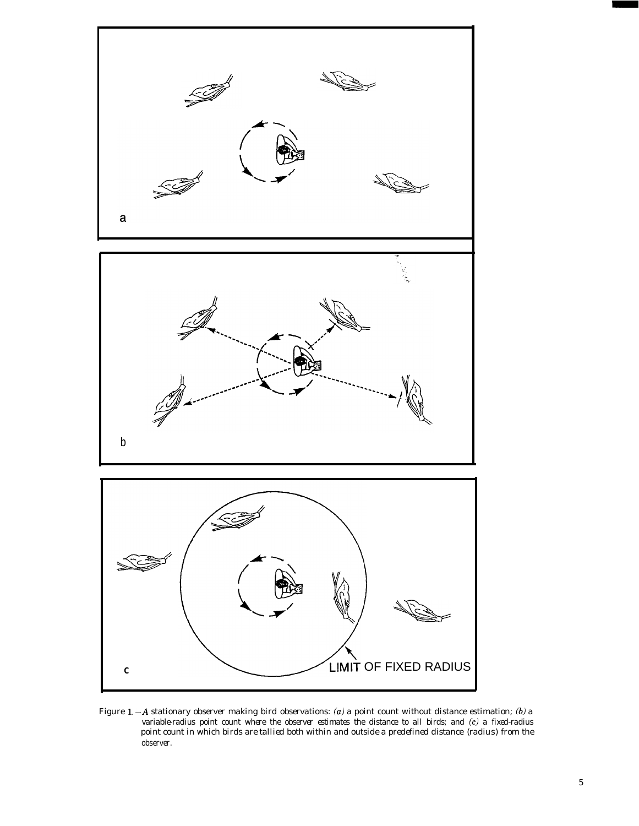

Figure 1.-A *stationary observer making bird observations: (a)* a *point count without distance estimation; (6) a variable-radius point count where the observer estimates the distance to all birds; and (c) a fixed-radius point count in which birds are tallied both within and outside a predefined distance* (radius) *from the observer.*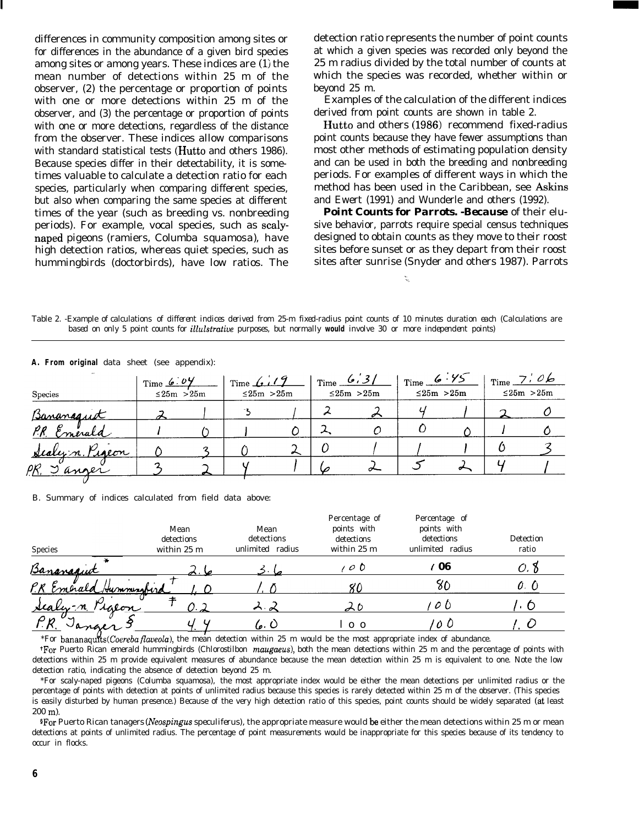differences in community composition among sites or for differences in the abundance of a given bird species among sites or among years. These indices are (1) the mean number of detections within 25 m of the observer, (2) the percentage or proportion of points with one or more detections within 25 m of the observer, and (3) the percentage or proportion of points with one or more detections, regardless of the distance from the observer. These indices allow comparisons with standard statistical tests (Hutto and others 1986). Because species differ in their detectability, it is sometimes valuable to calculate a detection ratio for each species, particularly when comparing different species, but also when comparing the same species at different times of the year (such as breeding vs. nonbreeding periods). For example, vocal species, such as scalynaped pigeons (ramiers, *Columba squamosa),* have high detection ratios, whereas quiet species, such as hummingbirds (doctorbirds), have low ratios. The

detection ratio represents the number of point counts at which a given species was recorded only beyond the 25 m radius divided by the total number of counts at which the species was recorded, whether within or beyond 25 m.

Examples of the calculation of the different indices derived from point counts are shown in table 2.

Hutto and others (1986) recommend fixed-radius point counts because they have fewer assumptions than most other methods of estimating population density and can be used in both the breeding and nonbreeding periods. For examples of different ways in which the method has been used in the Caribbean, see Askins and Ewert (1991) and Wunderle and others (1992).

*Point Counts for Parrots. -Because* of their elusive behavior, parrots require special census techniques designed to obtain counts as they move to their roost sites before sunset or as they depart from their roost sites after sunrise (Snyder and others 1987). Parrots

Table 2. -Example *of* calculations *of different indices derived from 25-m fixed-radius point counts of 10 minutes duration each (Calculations are based on only 5 point counts for illulstrative purposes, but normally* **would** *involve 30 or more independent points)*

| $\cdot$<br><b>Species</b> | Time 6.04<br>$\leq$ 25m > 25m | Time $6.19$<br>$\leq$ 25m > 25m |   | $\frac{6}{3}$ | $\leq$ 25m > 25m | $T_{\text{time}}$ 6 $\cdot$ 75<br>$\leq$ 25m > 25m | $T_{\text{Time}}$ $\frac{7}{ }$ 06 | $\leq$ 25m > 25m |
|---------------------------|-------------------------------|---------------------------------|---|---------------|------------------|----------------------------------------------------|------------------------------------|------------------|
| Bananaquit                |                               |                                 |   |               | ╭                |                                                    |                                    |                  |
| P.R. Emerald              |                               |                                 |   |               |                  |                                                    |                                    |                  |
| <u>Sealyn Pigeon</u>      |                               |                                 | ∽ |               |                  |                                                    |                                    |                  |
| Janger<br>P.R.            |                               |                                 |   |               |                  |                                                    |                                    |                  |
|                           |                               |                                 |   |               |                  |                                                    |                                    |                  |

**A. From original** data sheet (see appendix):

B. Summary of indices calculated from field data above:

| Species                  | Mean<br>detections<br>within 25 m | Mean<br>detections<br>radius<br>unlimited | Percentage of<br>points with<br>detections<br>within 25 m | Percentage of<br>points with<br>detections<br>unlimited radius | Detection<br>ratio |
|--------------------------|-----------------------------------|-------------------------------------------|-----------------------------------------------------------|----------------------------------------------------------------|--------------------|
| Bananaquit               |                                   |                                           | $O$ $O$                                                   | ' 06                                                           | υ. π               |
| Emerald Hummingfird      |                                   |                                           |                                                           | ðΩ                                                             | $\mathcal{O}$ . (  |
| <u>sealy</u> -n<br>talon | 0.2                               | $\wedge$                                  |                                                           | 00                                                             |                    |
| anger                    |                                   | 6. O                                      | $0\quad$                                                  | 0 O                                                            |                    |

\*For bananaquk *(Coereba flaveola),* the mean detection within 25 m would be the most appropriate index of abundance.

'For Puerto Rican emerald hummingbirds *(Chlorostilbon maugaeus),* both the mean detections within 25 m and the percentage of points with detections within 25 m provide equivalent measures of abundance because the mean detection within 25 m is equivalent to one. Note the low detection ratio, indicating the absence of detection beyond 25 m.

\*For scaly-naped pigeons *(Columba squamosa),* the most appropriate index would be either the mean detections per unlimited radius or the percentage of points with detection at points of unlimited radius because this species is rarely detected within 25 m of the observer. (This species is easily disturbed by human presence.) Because of the very high detection ratio of this species, point counts should be widely separated (at least 200 m).

SFor Puerto Rican tanagers *(Neospingus speculiferus),* the appropriate measure would be either the mean detections within 25 m or mean detections at points of unlimited radius. The percentage of point measurements would be inappropriate for this species because of its tendency to occur in flocks.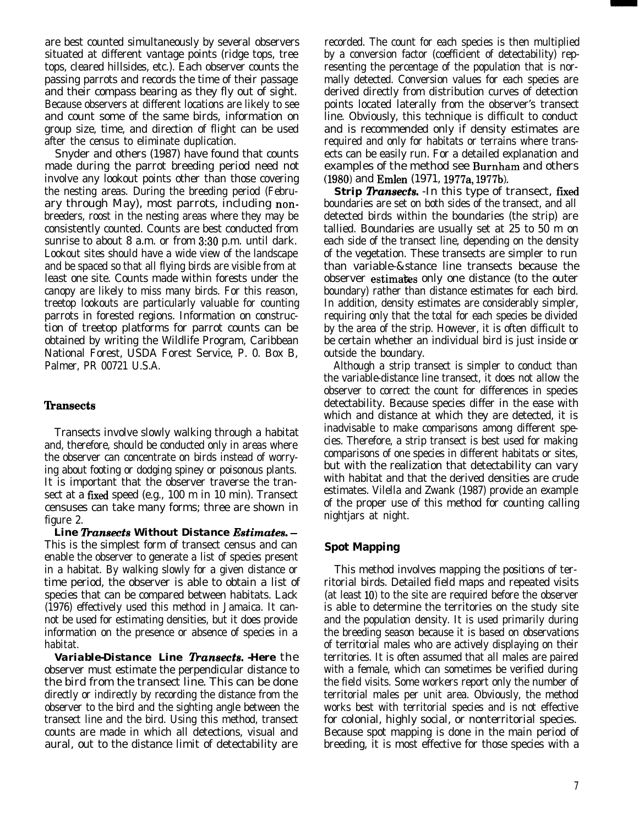are best counted simultaneously by several observers situated at different vantage points (ridge tops, tree tops, cleared hillsides, etc.). Each observer counts the passing parrots and records the time of their passage and their compass bearing as they fly out of sight. Because observers at different locations are likely to see and count some of the same birds, information on group size, time, and direction of flight can be used after the census to eliminate duplication.

Snyder and others (1987) have found that counts made during the parrot breeding period need not involve any lookout points other than those covering the nesting areas. During the breeding period (February through May), most parrots, including nonbreeders, roost in the nesting areas where they may be consistently counted. Counts are best conducted from sunrise to about 8 a.m. or from 3:30 p.m. until dark. Lookout sites should have a wide view of the landscape and be spaced so that all flying birds are visible from at least one site. Counts made within forests under the canopy are likely to miss many birds. For this reason, treetop lookouts are particularly valuable for counting parrots in forested regions. Information on construction of treetop platforms for parrot counts can be obtained by writing the Wildlife Program, Caribbean National Forest, USDA Forest Service, P. 0. Box B, Palmer, PR 00721 U.S.A.

#### **lhnsects**

Transects involve slowly walking through a habitat and, therefore, should be conducted only in areas where the observer can concentrate on birds instead of worrying about footing or dodging spiney or poisonous plants. It is important that the observer traverse the transect at a fixed speed (e.g., 100 m in 10 min). Transect censuses can take many forms; three are shown in figure 2.

Line Transects Without Distance Estimates. -This is the simplest form of transect census and can enable the observer to generate a list of species present in a habitat. By walking slowly for a given distance or time period, the observer is able to obtain a list of species that can be compared between habitats. Lack (1976) effectively used this method in Jamaica. It cannot be used for estimating densities, but it does provide information on the presence or absence of species in a habitat.

**Variable-Distance Line Transects. -Here** the observer must estimate the perpendicular distance to the bird from the transect line. This can be done directly or indirectly by recording the distance from the observer to the bird and the sighting angle between the transect line and the bird. Using this method, transect counts are made in which all detections, visual and aural, out to the distance limit of detectability are

recorded. The count for each species is then multiplied by a conversion factor (coefficient of detectability) representing the percentage of the population that is normally detected. Conversion values for each species are derived directly from distribution curves of detection points located laterally from the observer's transect line. Obviously, this technique is difficult to conduct and is recommended only if density estimates are required and only for habitats or terrains where transects can be easily run. For a detailed explanation and examples of the method see Burnham and others (1980) and Emlen (1971, 1977a, 1977b).

**Strip Transects.** -In this type of transect, fixed boundaries are set on both sides of the transect, and all detected birds within the boundaries (the strip) are tallied. Boundaries are usually set at 25 to 50 m on each side of the transect line, depending on the density of the vegetation. These transects are simpler to run than variable-&stance line transects because the observer estimates only one distance (to the outer boundary) rather than distance estimates for each bird. In addition, density estimates are considerably simpler, requiring only that the total for each species be divided by the area of the strip. However, it is often difficult to be certain whether an individual bird is just inside or outside the boundary.

Although a strip transect is simpler to conduct than the variable-distance line transect, it does not allow the observer to correct the count for differences in species detectability. Because species differ in the ease with which and distance at which they are detected, it is inadvisable to make comparisons among different species. Therefore, a strip transect is best used for making comparisons of one species in different habitats or sites, but with the realization that detectability can vary with habitat and that the derived densities are crude estimates. Vilella and Zwank (1987) provide an example of the proper use of this method for counting calling nightjars at night.

### **Spot Mapping**

This method involves mapping the positions of territorial birds. Detailed field maps and repeated visits (at least 10) to the site are required before the observer is able to determine the territories on the study site and the population density. It is used primarily during the breeding season because it is based on observations of territorial males who are actively displaying on their territories. It is often assumed that all males are paired with a female, which can sometimes be verified during the field visits. Some workers report only the number of territorial males per unit area. Obviously, the method works best with territorial species and is not effective for colonial, highly social, or nonterritorial species. Because spot mapping is done in the main period of breeding, it is most effective for those species with a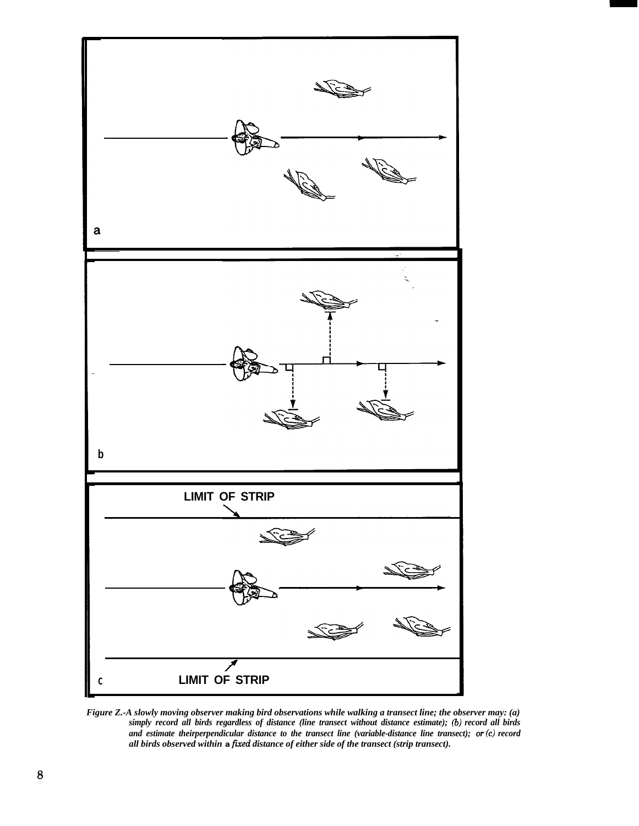

*Figure Z.-A slowly moving observer making bird observations while walking a transect line; the observer may: (a) simply record all birds regardless of distance (line transect without distance estimate); (b) record all birds and estimate theirperpendicular distance to the transect line (variable-distance line transect); or(c) record all birds observed within* **a** *jixed distance of either side of the transect (strip transect).*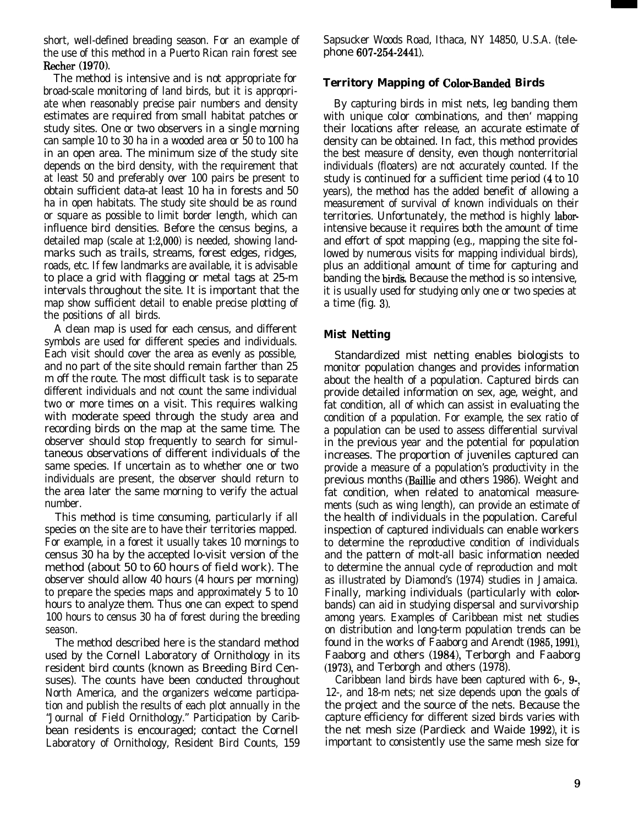short, well-defined breading season. For an example of the use of this method in a Puerto Rican rain forest see Recher (1970).

The method is intensive and is not appropriate for broad-scale monitoring of land birds, but it is appropriate when reasonably precise pair numbers and density estimates are required from small habitat patches or study sites. One or two observers in a single morning can sample 10 to 30 ha in a wooded area or 50 to 100 ha in an open area. The minimum size of the study site depends on the bird density, with the requirement that at least 50 and preferably over 100 pairs be present to obtain sufficient data-at least 10 ha in forests and 50 ha in open habitats. The study site should be as round or square as possible to limit border length, which can influence bird densities. Before the census begins, a detailed map (scale at 1:2,000) is needed, showing landmarks such as trails, streams, forest edges, ridges, roads, etc. If few landmarks are available, it is advisable to place a grid with flagging or metal tags at 25-m intervals throughout the site. It is important that the map show sufficient detail to enable precise plotting of the positions of all birds.

A clean map is used for each census, and different symbols are used for different species and individuals. Each visit should cover the area as evenly as possible, and no part of the site should remain farther than 25 m off the route. The most difficult task is to separate different individuals and not count the same individual two or more times on a visit. This requires walking with moderate speed through the study area and recording birds on the map at the same time. The observer should stop frequently to search for simultaneous observations of different individuals of the same species. If uncertain as to whether one or two individuals are present, the observer should return to the area later the same morning to verify the actual number.

This method is time consuming, particularly if all species on the site are to have their territories mapped. For example, in a forest it usually takes 10 mornings to census 30 ha by the accepted lo-visit version of the method (about 50 to 60 hours of field work). The observer should allow 40 hours (4 hours per morning) to prepare the species maps and approximately 5 to 10 hours to analyze them. Thus one can expect to spend 100 hours to census 30 ha of forest during the breeding season.

The method described here is the standard method used by the Cornell Laboratory of Ornithology in its resident bird counts (known as Breeding Bird Censuses). The counts have been conducted throughout North America, and the organizers welcome participation and publish the results of each plot annually in the "Journal of Field Ornithology." Participation by Caribbean residents is encouraged; contact the Cornell Laboratory of Ornithology, Resident Bird Counts, 159 Sapsucker Woods Road, Ithaca, NY 14850, U.S.A. (telephone 607-254-2441).

## **Territory Mapping of ColorBanded Birds**

By capturing birds in mist nets, leg banding them with unique color combinations, and then' mapping their locations after release, an accurate estimate of density can be obtained. In fact, this method provides the best measure of density, even though nonterritorial individuals (floaters) are not accurately counted. If the study is continued for a sufficient time period (4 to 10 years), the method has the added benefit of allowing a measurement of survival of known individuals on their territories. Unfortunately, the method is highly laborintensive because it requires both the amount of time and effort of spot mapping (e.g., mapping the site followed by numerous visits for mapping individual birds), plus an additional amount of time for capturing and banding the birds. Because the method is so intensive, it is usually used for studying only one or two species at a time (fig. 3).

#### **Mist Netting**

Standardized mist netting enables biologists to monitor population changes and provides information about the health of a population. Captured birds can provide detailed information on sex, age, weight, and fat condition, all of which can assist in evaluating the condition of a population. For example, the sex ratio of a population can be used to assess differential survival in the previous year and the potential for population increases. The proportion of juveniles captured can provide a measure of a population's productivity in the previous months (Baillie and others 1986). Weight and fat condition, when related to anatomical measurements (such as wing length), can provide an estimate of the health of individuals in the population. Careful inspection of captured individuals can enable workers to determine the reproductive condition of individuals and the pattern of molt-all basic information needed to determine the annual cycle of reproduction and molt as illustrated by Diamond's (1974) studies in Jamaica. Finally, marking individuals (particularly with colorbands) can aid in studying dispersal and survivorship among years. Examples of Caribbean mist net studies on distribution and long-term population trends can be found in the works of Faaborg and Arendt (1985, 1991), Faaborg and others (1984), Terborgh and Faaborg (1973), and Terborgh and others (1978).

Caribbean land birds have been captured with 6-, 9-, 12-, and 18-m nets; net size depends upon the goals of the project and the source of the nets. Because the capture efficiency for different sized birds varies with the net mesh size (Pardieck and Waide 1992), it is important to consistently use the same mesh size for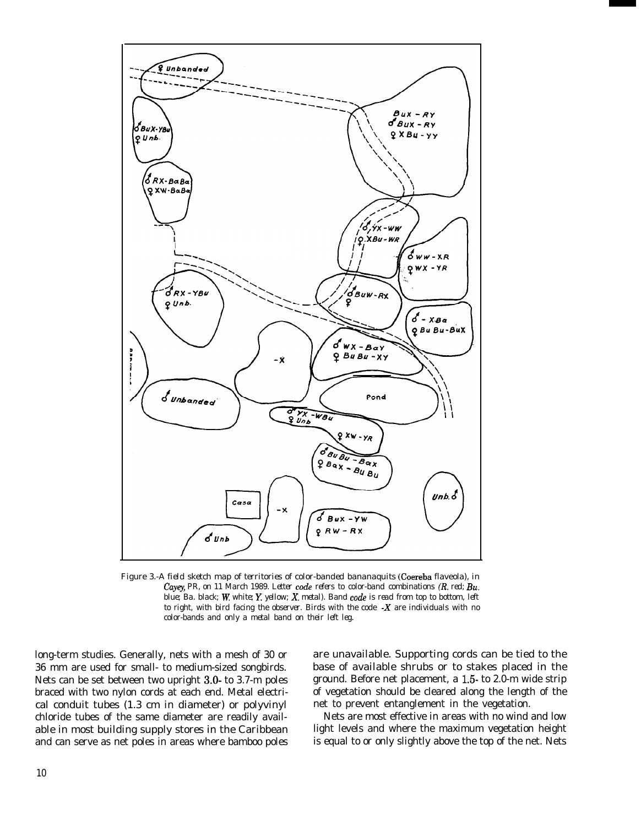

Figure 3.-A *field sketch map of territories of color-banded bananaquits* (Coereba flaveola), *in* Cayey, PR, on 11 March 1989. Letter code refers to color-band combinations (R. red; Bu. blue; Ba. black; W. white; Y. yellow; X. metal). Band code is read from top to bottom, left *to right, with bird facing the observer. Birds with the code -X are individuals with no color-bands and only a metal band on their left leg.*

long-term studies. Generally, nets with a mesh of 30 or 36 mm are used for small- to medium-sized songbirds. Nets can be set between two upright 3.0- to 3.7-m poles braced with two nylon cords at each end. Metal electrical conduit tubes (1.3 cm in diameter) or polyvinyl chloride tubes of the same diameter are readily available in most building supply stores in the Caribbean and can serve as net poles in areas where bamboo poles

are unavailable. Supporting cords can be tied to the base of available shrubs or to stakes placed in the ground. Before net placement, a 1.5 to 2.0-m wide strip of vegetation should be cleared along the length of the net to prevent entanglement in the vegetation.

Nets are most effective in areas with no wind and low light levels and where the maximum vegetation height is equal to or only slightly above the top of the net. Nets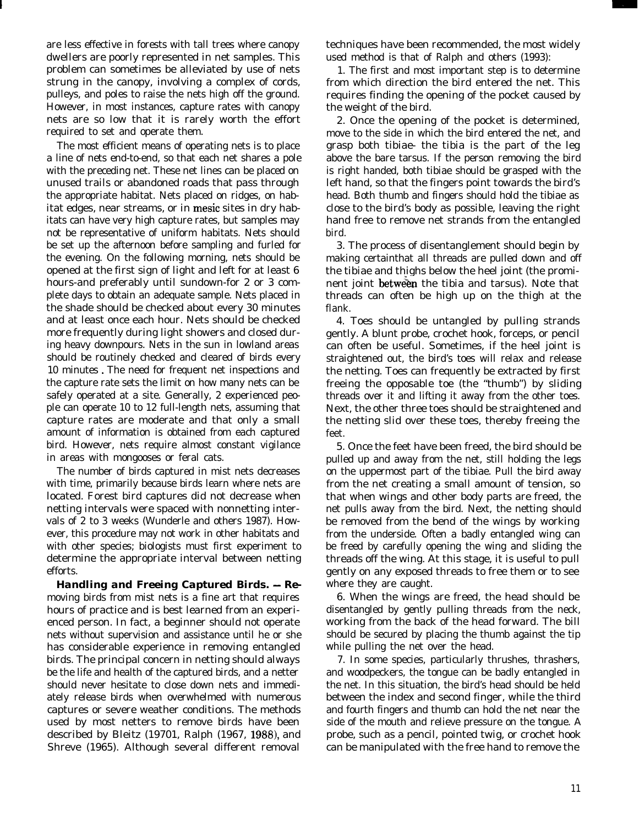are less effective in forests with tall trees where canopy dwellers are poorly represented in net samples. This problem can sometimes be alleviated by use of nets strung in the canopy, involving a complex of cords, pulleys, and poles to raise the nets high off the ground. However, in most instances, capture rates with canopy nets are so low that it is rarely worth the effort required to set and operate them.

The most efficient means of operating nets is to place a line of nets end-to-end, so that each net shares a pole with the preceding net. These net lines can be placed on unused trails or abandoned roads that pass through the appropriate habitat. Nets placed on ridges, on habitat edges, near streams, or in mesic sites in dry habitats can have very high capture rates, but samples may not be representative of uniform habitats. Nets should be set up the afternoon before sampling and furled for the evening. On the following morning, nets should be opened at the first sign of light and left for at least 6 hours-and preferably until sundown-for 2 or 3 complete days to obtain an adequate sample. Nets placed in the shade should be checked about every 30 minutes and at least once each hour. Nets should be checked more frequently during light showers and closed during heavy downpours. Nets in the sun in lowland areas should be routinely checked and cleared of birds every 10 minutes . The need for frequent net inspections and the capture rate sets the limit on how many nets can be safely operated at a site. Generally, 2 experienced people can operate 10 to 12 full-length nets, assuming that capture rates are moderate and that only a small amount of information is obtained from each captured bird. However, nets require almost constant vigilance in areas with mongooses or feral cats.

The number of birds captured in mist nets decreases with time, primarily because birds learn where nets are located. Forest bird captures did not decrease when netting intervals were spaced with nonnetting intervals of 2 to 3 weeks (Wunderle and others 1987). However, this procedure may not work in other habitats and with other species; biologists must first experiment to determine the appropriate interval between netting efforts.

*Handling and Freeing Captured Birds. - Re*moving birds from mist nets is a fine art that requires hours of practice and is best learned from an experienced person. In fact, a beginner should not operate nets without supervision and assistance until he or she has considerable experience in removing entangled birds. The principal concern in netting should always be the life and health of the captured birds, and a netter should never hesitate to close down nets and immediately release birds when overwhelmed with numerous captures or severe weather conditions. The methods used by most netters to remove birds have been described by Bleitz (19701, Ralph (1967,  $1988$ ), and Shreve (1965). Although several different removal

techniques have been recommended, the most widely used method is that of Ralph and others (1993):

1. The first and most important step is to determine from which direction the bird entered the net. This requires finding the opening of the pocket caused by the weight of the bird.

2. Once the opening of the pocket is determined, move to the side in which the bird entered the net, and grasp both tibiae- the tibia is the part of the leg above the bare tarsus. If the person removing the bird is right handed, both tibiae should be grasped with the left hand, so that the fingers point towards the bird's head. Both thumb and fingers should hold the tibiae as close to the bird's body as possible, leaving the right hand free to remove net strands from the entangled bird.

3. The process of disentanglement should begin by making certainthat all threads are pulled down and off the tibiae and thighs below the heel joint (the prominent joint between the tibia and tarsus). Note that threads can often be high up on the thigh at the flank.

4. Toes should be untangled by pulling strands gently. A blunt probe, crochet hook, forceps, or pencil can often be useful. Sometimes, if the heel joint is straightened out, the bird's toes will relax and release the netting. Toes can frequently be extracted by first freeing the opposable toe (the "thumb") by sliding threads over it and lifting it away from the other toes. Next, the other three toes should be straightened and the netting slid over these toes, thereby freeing the feet.

5. Once the feet have been freed, the bird should be pulled up and away from the net, still holding the legs on the uppermost part of the tibiae. Pull the bird away from the net creating a small amount of tension, so that when wings and other body parts are freed, the net pulls away from the bird. Next, the netting should be removed from the bend of the wings by working from the underside. Often a badly entangled wing can be freed by carefully opening the wing and sliding the threads off the wing. At this stage, it is useful to pull gently on any exposed threads to free them or to see where they are caught.

6. When the wings are freed, the head should be disentangled by gently pulling threads from the neck, working from the back of the head forward. The bill should be secured by placing the thumb against the tip while pulling the net over the head.

7. In some species, particularly thrushes, thrashers, and woodpeckers, the tongue can be badly entangled in the net. In this situation, the bird's head should be held between the index and second finger, while the third and fourth fingers and thumb can hold the net near the side of the mouth and relieve pressure on the tongue. A probe, such as a pencil, pointed twig, or crochet hook can be manipulated with the free hand to remove the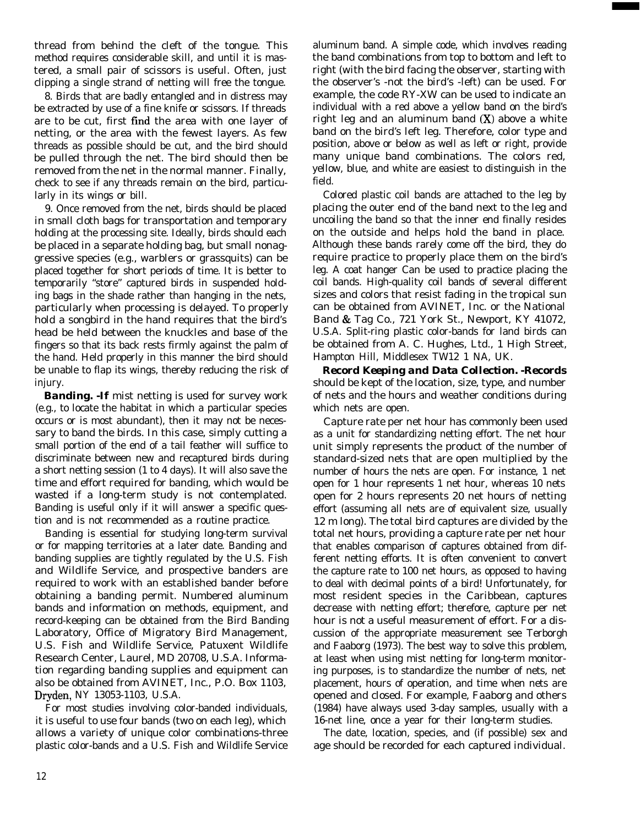thread from behind the cleft of the tongue. This method requires considerable skill, and until it is mastered, a small pair of scissors is useful. Often, just clipping a single strand of netting will free the tongue.

8. Birds that are badly entangled and in distress may be extracted by use of a fine knife or scissors. If threads are to be cut, first find the area with one layer of netting, or the area with the fewest layers. As few threads as possible should be cut, and the bird should be pulled through the net. The bird should then be removed from the net in the normal manner. Finally, check to see if any threads remain on the bird, particularly in its wings or bill.

9. Once removed from the net, birds should be placed in small cloth bags for transportation and temporary holding at the processing site. Ideally, birds should each be placed in a separate holding bag, but small nonaggressive species (e.g., warblers or grassquits) can be placed together for short periods of time. It is better to temporarily "store" captured birds in suspended holding bags in the shade rather than hanging in the nets, particularly when processing is delayed. To properly hold a songbird in the hand requires that the bird's head be held between the knuckles and base of the fingers so that its back rests firmly against the palm of the hand. Held properly in this manner the bird should be unable to flap its wings, thereby reducing the risk of injury.

*Banding. -If* mist netting is used for survey work (e.g., to locate the habitat in which a particular species occurs or is most abundant), then it may not be necessary to band the birds. In this case, simply cutting a small portion of the end of a tail feather will suffice to discriminate between new and recaptured birds during a short netting session (1 to 4 days). It will also save the time and effort required for banding, which would be wasted if a long-term study is not contemplated. Banding is useful only if it will answer a specific question and is not recommended as a routine practice.

Banding is essential for studying long-term survival or for mapping territories at a later date. Banding and banding supplies are tightly regulated by the U.S. Fish and Wildlife Service, and prospective banders are required to work with an established bander before obtaining a banding permit. Numbered aluminum bands and information on methods, equipment, and record-keeping can be obtained from the Bird Banding Laboratory, Office of Migratory Bird Management, U.S. Fish and Wildlife Service, Patuxent Wildlife Research Center, Laurel, MD 20708, U.S.A. Information regarding banding supplies and equipment can also be obtained from AVINET, Inc., P.O. Box 1103, Dryden, NY 13053-1103, U.S.A.

For most studies involving color-banded individuals, it is useful to use four bands (two on each leg), which allows a variety of unique color combinations-three plastic color-bands and a U.S. Fish and Wildlife Service aluminum band. A simple code, which involves reading the band combinations from top to bottom and left to right (with the bird facing the observer, starting with the observer's -not the bird's -left) can be used. For example, the code RY-XW can be used to indicate an individual with a red above a yellow band on the bird's right leg and an aluminum band  $(X)$  above a white band on the bird's left leg. Therefore, color type and position, above or below as well as left or right, provide many unique band combinations. The colors red, yellow, blue, and white are easiest to distinguish in the field.

Colored plastic coil bands are attached to the leg by placing the outer end of the band next to the leg and uncoiling the band so that the inner end finally resides on the outside and helps hold the band in place. Although these bands rarely come off the bird, they do require practice to properly place them on the bird's leg. A coat hanger Can be used to practice placing the coil bands. High-quality coil bands of several different sizes and colors that resist fading in the tropical sun can be obtained from AVINET, Inc. or the National Band & Tag Co., 721 York St., Newport, KY 41072, U.S.A. Split-ring plastic color-bands for land birds can be obtained from A. C. Hughes, Ltd., 1 High Street, Hampton Hill, Middlesex TW12 1 NA, UK.

*Record Keeping and Data Collection. -Records* should be kept of the location, size, type, and number of nets and the hours and weather conditions during which nets are open.

Capture rate per net hour has commonly been used as a unit for standardizing netting effort. The net hour unit simply represents the product of the number of standard-sized nets that are open multiplied by the number of hours the nets are open. For instance, 1 net open for 1 hour represents 1 net hour, whereas 10 nets open for 2 hours represents 20 net hours of netting effort (assuming all nets are of equivalent size, usually 12 m long). The total bird captures are divided by the total net hours, providing a capture rate per net hour that enables comparison of captures obtained from different netting efforts. It is often convenient to convert the capture rate to 100 net hours, as opposed to having to deal with decimal points of a bird! Unfortunately, for most resident species in the Caribbean, captures decrease with netting effort; therefore, capture per net hour is not a useful measurement of effort. For a discussion of the appropriate measurement see Terborgh and Faaborg (1973). The best way to solve this problem, at least when using mist netting for long-term monitoring purposes, is to standardize the number of nets, net placement, hours of operation, and time when nets are opened and closed. For example, Faaborg and others (1984) have always used 3-day samples, usually with a 16-net line, once a year for their long-term studies.

The date, location, species, and (if possible) sex and age should be recorded for each captured individual.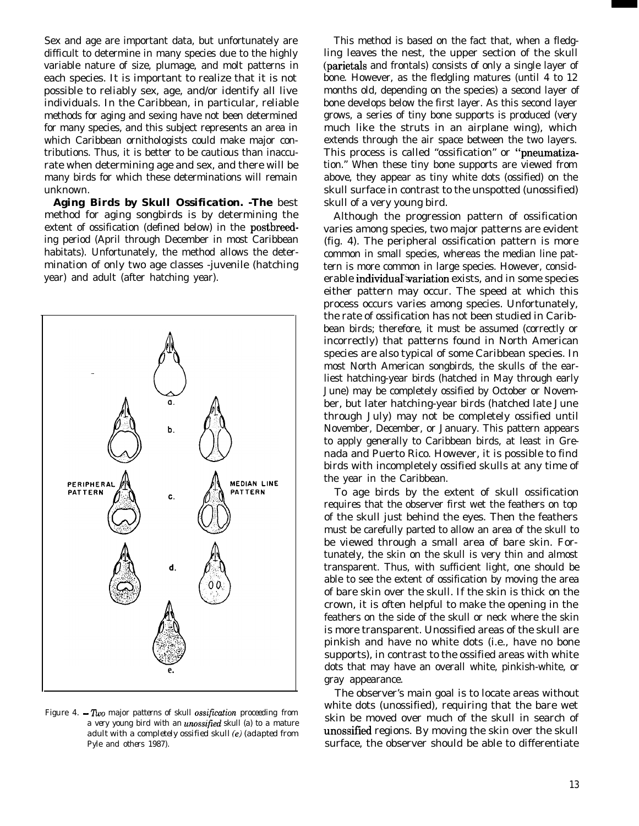Sex and age are important data, but unfortunately are difficult to determine in many species due to the highly variable nature of size, plumage, and molt patterns in each species. It is important to realize that it is not possible to reliably sex, age, and/or identify all live individuals. In the Caribbean, in particular, reliable methods for aging and sexing have not been determined for many species, and this subject represents an area in which Caribbean ornithologists could make major contributions. Thus, it is better to be cautious than inaccurate when determining age and sex, and there will be many birds for which these determinations will remain unknown.

*Aging Birds by Skull Ossification. -The* best method for aging songbirds is by determining the extent of ossification (defined below) in the postbreeding period (April through December in most Caribbean habitats). Unfortunately, the method allows the determination of only two age classes -juvenile (hatching year) and adult (after hatching year).



Figure 4. - Two major *patterns of skull ossification proceeding from a very young bird with an urwssified skull* (a) *to a mature adult with* a *completely ossified skull (e) (adapted from Pyle and others 1987).*

This method is based on the fact that, when a fledgling leaves the nest, the upper section of the skull (parietals and frontals) consists of only a single layer of bone. However, as the fledgling matures (until 4 to 12 months old, depending on the species) a second layer of bone develops below the first layer. As this second layer grows, a series of tiny bone supports is produced (very much like the struts in an airplane wing), which extends through the air space between the two layers. This process is called "ossification" or "pneumatization." When these tiny bone supports are viewed from above, they appear as tiny white dots (ossified) on the skull surface in contrast to the unspotted (unossified) skull of a very young bird.

Although the progression pattern of ossification varies among species, two major patterns are evident (fig. 4). The peripheral ossification pattern is more common in small species, whereas the median line pattern is more common in large species. However, considerable individual variation exists, and in some species either pattern may occur. The speed at which this process occurs varies among species. Unfortunately, the rate of ossification has not been studied in Caribbean birds; therefore, it must be assumed (correctly or incorrectly) that patterns found in North American species are also typical of some Caribbean species. In most North American songbirds, the skulls of the earliest hatching-year birds (hatched in May through early June) may be completely ossified by October or November, but later hatching-year birds (hatched late June through July) may not be completely ossified until November, December, or January. This pattern appears to apply generally to Caribbean birds, at least in Grenada and Puerto Rico. However, it is possible to find birds with incompletely ossified skulls at any time of the year in the Caribbean.

To age birds by the extent of skull ossification requires that the observer first wet the feathers on top of the skull just behind the eyes. Then the feathers must be carefully parted to allow an area of the skull to be viewed through a small area of bare skin. Fortunately, the skin on the skull is very thin and almost transparent. Thus, with sufficient light, one should be able to see the extent of ossification by moving the area of bare skin over the skull. If the skin is thick on the crown, it is often helpful to make the opening in the feathers on the side of the skull or neck where the skin is more transparent. Unossified areas of the skull are pinkish and have no white dots (i.e., have no bone supports), in contrast to the ossified areas with white dots that may have an overall white, pinkish-white, or gray appearance.

The observer's main goal is to locate areas without white dots (unossified), requiring that the bare wet skin be moved over much of the skull in search of unossified regions. By moving the skin over the skull surface, the observer should be able to differentiate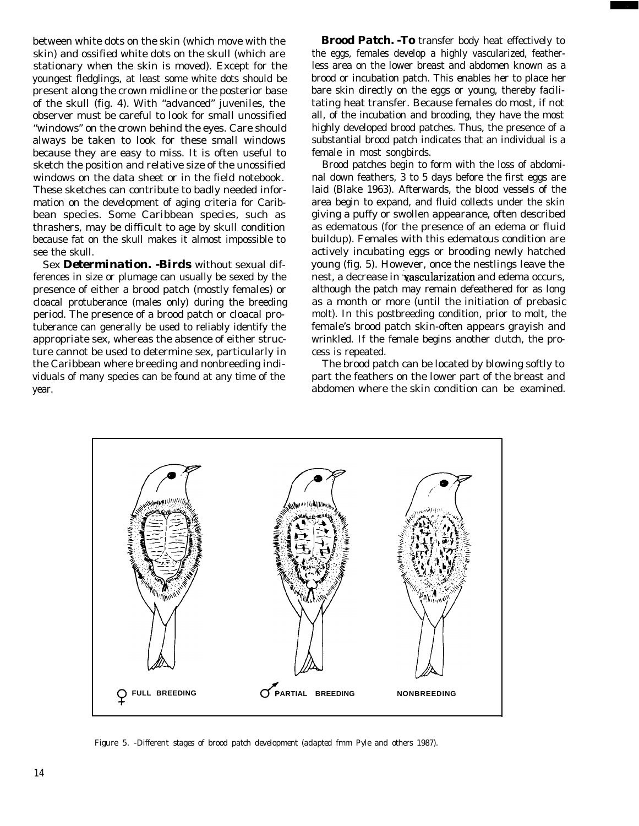between white dots on the skin (which move with the skin) and ossified white dots on the skull (which are stationary when the skin is moved). Except for the youngest fledglings, at least some white dots should be present along the crown midline or the posterior base of the skull (fig. 4). With "advanced" juveniles, the observer must be careful to look for small unossified "windows" on the crown behind the eyes. Care should always be taken to look for these small windows because they are easy to miss. It is often useful to sketch the position and relative size of the unossified windows on the data sheet or in the field notebook. These sketches can contribute to badly needed information on the development of aging criteria for Caribbean species. Some Caribbean species, such as thrashers, may be difficult to age by skull condition because fat on the skull makes it almost impossible to see the skull.

Sex *Determination. -Birds* without sexual differences in size or plumage can usually be sexed by the presence of either a brood patch (mostly females) or cloacal protuberance (males only) during the breeding period. The presence of a brood patch or cloacal protuberance can generally be used to reliably identify the appropriate sex, whereas the absence of either structure cannot be used to determine sex, particularly in the Caribbean where breeding and nonbreeding individuals of many species can be found at any time of the year.

*Brood Patch. -To* transfer body heat effectively to the eggs, females develop a highly vascularized, featherless area on the lower breast and abdomen known as a brood or incubation patch. This enables her to place her bare skin directly on the eggs or young, thereby facilitating heat transfer. Because females do most, if not all, of the incubation and brooding, they have the most highly developed brood patches. Thus, the presence of a substantial brood patch indicates that an individual is a female in most songbirds.

Brood patches begin to form with the loss of abdominal down feathers, 3 to 5 days before the first eggs are laid (Blake 1963). Afterwards, the blood vessels of the area begin to expand, and fluid collects under the skin giving a puffy or swollen appearance, often described as edematous (for the presence of an edema or fluid buildup). Females with this edematous condition are actively incubating eggs or brooding newly hatched young (fig. 5). However, once the nestlings leave the nest, a decrease in 'vascularization and edema occurs, although the patch may remain defeathered for as long as a month or more (until the initiation of prebasic molt). In this postbreeding condition, prior to molt, the female's brood patch skin-often appears grayish and wrinkled. If the female begins another clutch, the process is repeated.

The brood patch can be located by blowing softly to part the feathers on the lower part of the breast and abdomen where the skin condition can be examined.



Figure 5. -Different *stages of brood patch development (adapted fmm Pyle and others 1987).*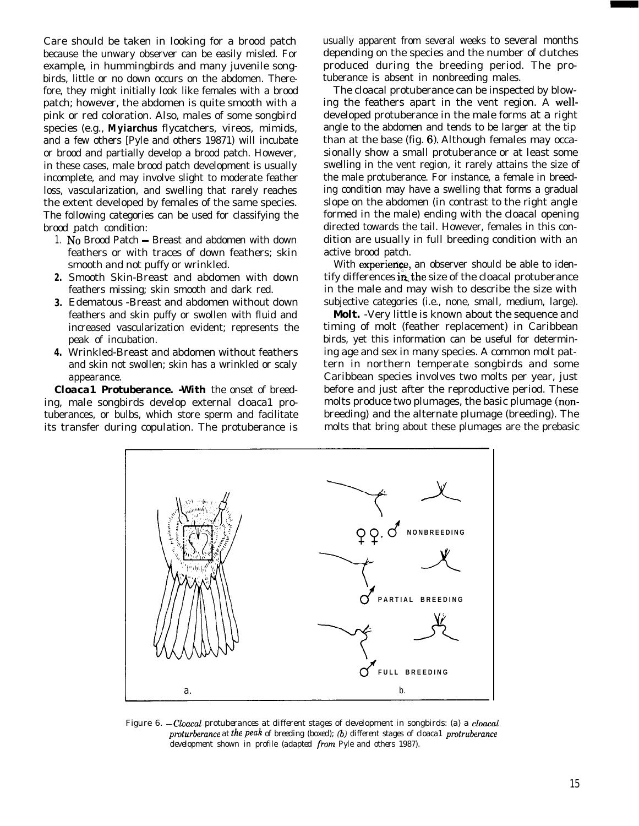Care should be taken in looking for a brood patch because the unwary observer can be easily misled. For example, in hummingbirds and many juvenile songbirds, little or no down occurs on the abdomen. Therefore, they might initially look like females with a brood patch; however, the abdomen is quite smooth with a pink or red coloration. Also, males of some songbird species (e.g., *Myiarchus* flycatchers, vireos, mimids, and a few others [Pyle and others 19871) will incubate or brood and partially develop a brood patch. However, in these cases, male brood patch development is usually incomplete, and may involve slight to moderate feather loss, vascularization, and swelling that rarely reaches the extent developed by females of the same species. The following categories can be used for classifying the brood patch condition:

- 1. No Brood Patch Breast and abdomen with down feathers or with traces of down feathers; skin smooth and not puffy or wrinkled.
- *2.* Smooth Skin-Breast and abdomen with down feathers missing; skin smooth and dark red.
- *3.* Edematous -Breast and abdomen without down feathers and skin puffy or swollen with fluid and increased vascularization evident; represents the peak of incubation.
- *4.* Wrinkled-Breast and abdomen without feathers and skin not swollen; skin has a wrinkled or scaly appearance.

*Cloaca1 Protuberance. -With* the onset of breeding, male songbirds develop external cloaca1 protuberances, or bulbs, which store sperm and facilitate its transfer during copulation. The protuberance is usually apparent from several weeks to several months depending on the species and the number of clutches produced during the breeding period. The protuberance is absent in nonbreeding males.

The cloacal protuberance can be inspected by blowing the feathers apart in the vent region. A welldeveloped protuberance in the male forms at a right angle to the abdomen and tends to be larger at the tip than at the base (fig.  $6$ ). Although females may occasionally show a small protuberance or at least some swelling in the vent region, it rarely attains the size of the male protuberance. For instance, a female in breeding condition may have a swelling that forms a gradual slope on the abdomen (in contrast to the right angle formed in the male) ending with the cloacal opening directed towards the tail. However, females in this condition are usually in full breeding condition with an active brood patch.

With experience, an observer should be able to identify differences in the size of the cloacal protuberance in the male and may wish to describe the size with subjective categories (i.e., none, small, medium, large).

*Molt.* -Very little is known about the sequence and timing of molt (feather replacement) in Caribbean birds, yet this information can be useful for determining age and sex in many species. A common molt pattern in northern temperate songbirds and some Caribbean species involves two molts per year, just before and just after the reproductive period. These molts produce two plumages, the basic plumage (nonbreeding) and the alternate plumage (breeding). The molts that bring about these plumages are the prebasic



Figure 6. -Cloaca1 *protuberances at different stages of development in songbirds: (a) a cloaca1 proturberance at* the peak *of breeding (boxed); (b) different stages of cloaca1 protruberance development shown in profile (adapted from Pyle and others 1987).*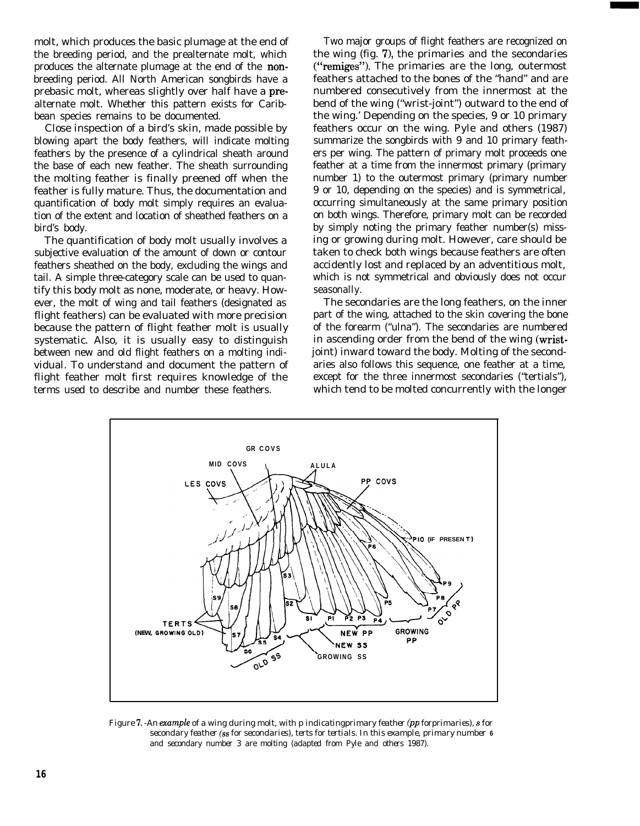molt, which produces the basic plumage at the end of the breeding period, and the prealternate molt, which produces the alternate plumage at the end of the nonbreeding period. All North American songbirds have a prebasic molt, whereas slightly over half have a prealternate molt. Whether this pattern exists for Caribbean species remains to be documented.

Close inspection of a bird's skin, made possible by blowing apart the body feathers, will indicate molting feathers by the presence of a cylindrical sheath around the base of each new feather. The sheath surrounding the molting feather is finally preened off when the feather is fully mature. Thus, the documentation and quantification of body molt simply requires an evaluation of the extent and location of sheathed feathers on a bird's body.

The quantification of body molt usually involves a subjective evaluation of the amount of down or contour feathers sheathed on the body, excluding the wings and tail. A simple three-category scale can be used to quantify this body molt as none, moderate, or heavy. However, the molt of wing and tail feathers (designated as flight feathers) can be evaluated with more precision because the pattern of flight feather molt is usually systematic. Also, it is usually easy to distinguish between new and old flight feathers on a molting individual. To understand and document the pattern of flight feather molt first requires knowledge of the terms used to describe and number these feathers.

Two major groups of flight feathers are recognized on the wing (fig. 7), the primaries and the secondaries ("remiges"). The primaries are the long, outermost feathers attached to the bones of the "hand" and are numbered consecutively from the innermost at the bend of the wing ("wrist-joint") outward to the end of the wing.' Depending on the species, 9 or 10 primary feathers occur on the wing. Pyle and others (1987) summarize the songbirds with 9 and 10 primary feathers per wing. The pattern of primary molt proceeds one feather at a time from the innermost primary (primary number 1) to the outermost primary (primary number 9 or 10, depending on the species) and is symmetrical, occurring simultaneously at the same primary position on both wings. Therefore, primary molt can be recorded by simply noting the primary feather number(s) missing or growing during molt. However, care should be taken to check both wings because feathers are often accidently lost and replaced by an adventitious molt, which is not symmetrical and obviously does not occur seasonally.

The secondaries are the long feathers, on the inner part of the wing, attached to the skin covering the bone of the forearm ("ulna"). The secondaries are numbered in ascending order from the bend of the wing (wristjoint) inward toward the body. Molting of the secondaries also follows this sequence, one feather at a time, except for the three innermost secondaries ("tertials"), which tend to be molted concurrently with the longer



Figure I. *-An example of* a *wing during molt, with p indicatingprimary feather (pp forprimaries), s for secondary feather (ss for secondaries), terts for tertials. In this example, primary number* **6** *and secondary number 3 are molting (adapted from Pyle and others 1987).*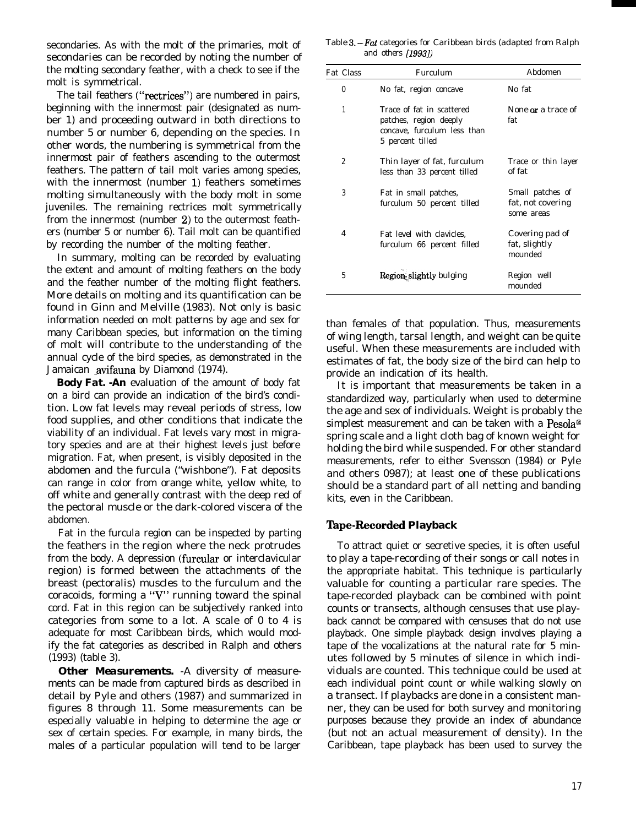secondaries. As with the molt of the primaries, molt of secondaries can be recorded by noting the number of the molting secondary feather, with a check to see if the molt is symmetrical.

The tail feathers ("rectrices") are numbered in pairs, beginning with the innermost pair (designated as number 1) and proceeding outward in both directions to number 5 or number 6, depending on the species. In other words, the numbering is symmetrical from the innermost pair of feathers ascending to the outermost feathers. The pattern of tail molt varies among species, with the innermost (number 1) feathers sometimes molting simultaneously with the body molt in some juveniles. The remaining rectrices molt symmetrically from the innermost (number 2) to the outermost feathers (number 5 or number 6). Tail molt can be quantified by recording the number of the molting feather.

In summary, molting can be recorded by evaluating the extent and amount of molting feathers on the body and the feather number of the molting flight feathers. More details on molting and its quantification can be found in Ginn and Melville (1983). Not only is basic information needed on molt patterns by age and sex for many Caribbean species, but information on the timing of molt will contribute to the understanding of the annual cycle of the bird species, as demonstrated in the Jamaican avifauna by Diamond (1974).

*Body Fat. -An* evaluation of the amount of body fat on a bird can provide an indication of the bird's condition. Low fat levels may reveal periods of stress, low food supplies, and other conditions that indicate the viability of an individual. Fat levels vary most in migratory species and are at their highest levels just before migration. Fat, when present, is visibly deposited in the abdomen and the furcula ("wishbone"). Fat deposits can range in color from orange white, yellow white, to off white and generally contrast with the deep red of the pectoral muscle or the dark-colored viscera of the abdomen.

Fat in the furcula region can be inspected by parting the feathers in the region where the neck protrudes from the body. A depression (furcular or interclavicular region) is formed between the attachments of the breast (pectoralis) muscles to the furculum and the coracoids, forming a "V" running toward the spinal cord. Fat in this region can be subjectively ranked into categories from some to a lot. A scale of 0 to 4 is adequate for most Caribbean birds, which would modify the fat categories as described in Ralph and others (1993) (table 3).

**Other Measurements.** -A diversity of measurements can be made from captured birds as described in detail by Pyle and others (1987) and summarized in figures 8 through 11. Some measurements can be especially valuable in helping to determine the age or sex of certain species. For example, in many birds, the males of a particular population will tend to be larger

Table 3.-F& *categories for Caribbean birds (adapted from Ralph and others [1993])*

| Fat Class      | Furculum                                                                                               | Abdomen                                             |
|----------------|--------------------------------------------------------------------------------------------------------|-----------------------------------------------------|
| $\theta$       | No fat, region concave                                                                                 | No fat                                              |
| 1              | Trace of fat in scattered<br>patches, region deeply<br>concave. furculum less than<br>5 percent tilled | None or a trace of<br>fat                           |
| $\overline{2}$ | Thin layer of fat, furculum<br>less than 33 percent tilled                                             | Trace or thin layer<br>of fat                       |
| 3              | Fat in small patches,<br>furculum 50 percent tilled                                                    | Small patches of<br>fat, not covering<br>some areas |
| 4              | Fat level with clavicles,<br>furculum 66 percent filled                                                | Covering pad of<br>fat, slightly<br>mounded         |
| 5              | Region slightly bulging                                                                                | Region well<br>mounded                              |

than females of that population. Thus, measurements of wing length, tarsal length, and weight can be quite useful. When these measurements are included with estimates of fat, the body size of the bird can help to provide an indication of its health.

It is important that measurements be taken in a standardized way, particularly when used to determine the age and sex of individuals. Weight is probably the simplest measurement and can be taken with a  $Pesola^{\circledast}$ spring scale and a light cloth bag of known weight for holding the bird while suspended. For other standard measurements, refer to either Svensson (1984) or Pyle and others 0987); at least one of these publications should be a standard part of all netting and banding kits, even in the Caribbean.

#### **'Ihpe-Recorded Playback**

To attract quiet or secretive species, it is often useful to play a tape-recording of their songs or call notes in the appropriate habitat. This technique is particularly valuable for counting a particular rare species. The tape-recorded playback can be combined with point counts or transects, although censuses that use playback cannot be compared with censuses that do not use playback. One simple playback design involves playing a tape of the vocalizations at the natural rate for 5 minutes followed by 5 minutes of silence in which individuals are counted. This technique could be used at each individual point count or while walking slowly on a transect. If playbacks are done in a consistent manner, they can be used for both survey and monitoring purposes because they provide an index of abundance (but not an actual measurement of density). In the Caribbean, tape playback has been used to survey the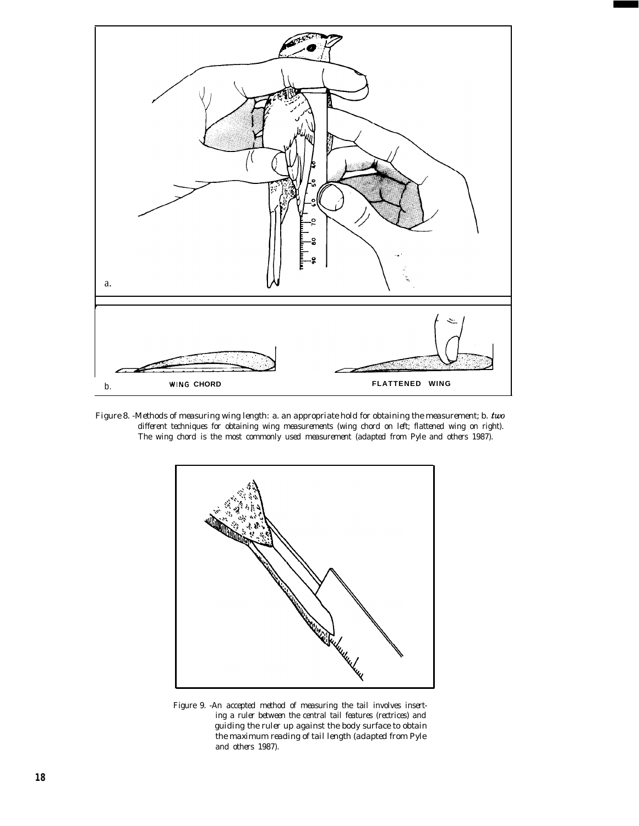

*Figure 8. -Methods of measuring wing length:* a. *an appropriate hold for obtaining the measurement; b. two different techniques for obtaining wing measurements (wing chord on left; flattened wing on right). The wing chord is the most commonly used measurement (adapted from Pyle and others 1987).*



Figure 9. *-An accepted method of measuring the tail involves inserting a ruler between the central tail features (rectrices) and guiding the ruler up against the body surface to obtain the maximum reading of tail length (adapted from Pyle and others 1987).*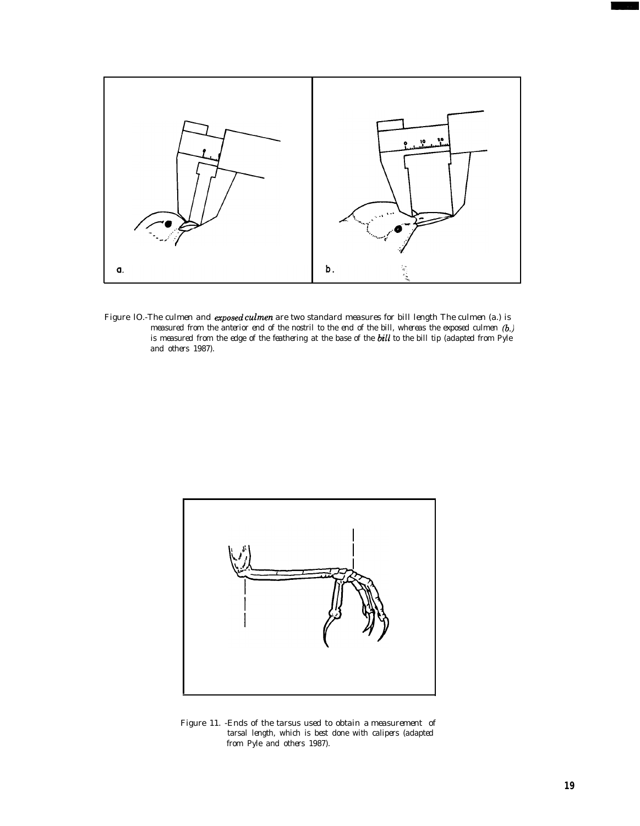

Figure *lO.-The culmen and exposed culmen are two standard measures for bill length The culmen (a.) is measured from the anterior end of the nostril to the end of the bill, whereas the exposed culmen (b.) is measured from the edge of the feathering at the base of the bill to the bill tip (adapted from Pyle and others 1987).*



Figure 11. *-Ends of the tarsus used to obtain* a *measurement of tarsal length, which is best done with calipers (adapted from Pyle and others 1987).*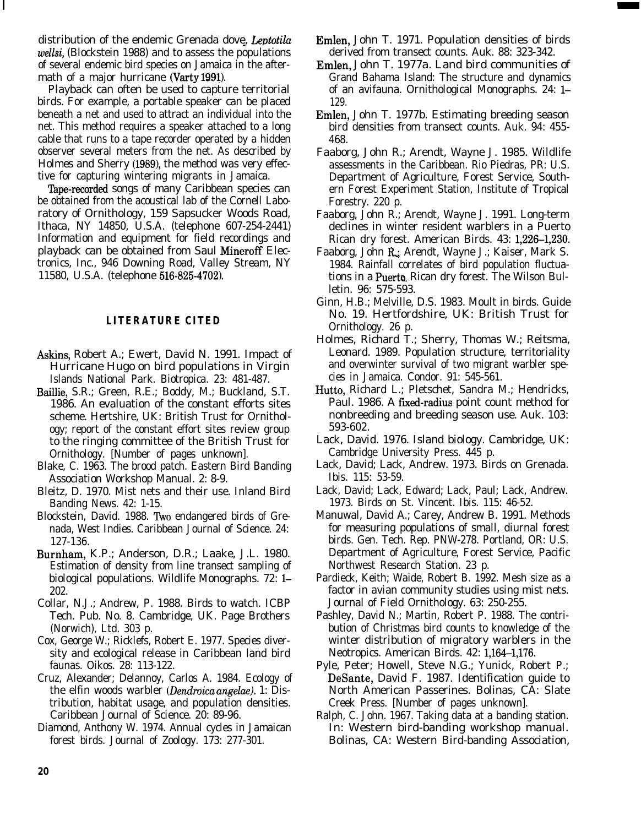distribution of the endemic Grenada dove, Leptotila *wellsi,* (Blockstein 1988) and to assess the populations of several endemic bird species on Jamaica in the aftermath of a major hurricane (Varty 1991).

Playback can often be used to capture territorial birds. For example, a portable speaker can be placed beneath a net and used to attract an individual into the net. This method requires a speaker attached to a long cable that runs to a tape recorder operated by a hidden observer several meters from the net. As described by Holmes and Sherry (1989), the method was very effective for capturing wintering migrants in Jamaica.

Tape-recorded songs of many Caribbean species can be obtained from the acoustical lab of the Cornell Laboratory of Ornithology, 159 Sapsucker Woods Road, Ithaca, NY 14850, U.S.A. (telephone 607-254-2441) Information and equipment for field recordings and playback can be obtained from Saul Mineroff Electronics, Inc., 946 Downing Road, Valley Stream, NY 11580, U.S.A. (telephone 516-825-4702).

## **LITERATURE CITED**

- Askins, Robert A.; Ewert, David N. 1991. Impact of Hurricane Hugo on bird populations in Virgin Islands National Park. Biotropica. 23: 481-487.
- Baillie, S.R.; Green, R.E.; Boddy, M.; Buckland, S.T. 1986. An evaluation of the constant efforts sites scheme. Hertshire, UK: British Trust for Ornithology; report of the constant effort sites review group to the ringing committee of the British Trust for Ornithology. [Number of pages unknown].
- Blake, C. 1963. The brood patch. Eastern Bird Banding Association Workshop Manual. 2: 8-9.
- Bleitz, D. 1970. Mist nets and their use. Inland Bird Banding News. 42: 1-15.
- Blockstein, David. 1988. Two endangered birds of Grenada, West Indies. Caribbean Journal of Science. 24: 127-136.
- Burnham, K.P.; Anderson, D.R.; Laake, J.L. 1980. Estimation of density from line transect sampling of biological populations. Wildlife Monographs. 72: l-202.
- Collar, N.J.; Andrew, P. 1988. Birds to watch. ICBP Tech. Pub. No. 8. Cambridge, UK. Page Brothers (Norwich), Ltd. 303 p.
- Cox, George W.; Ricklefs, Robert E. 1977. Species diversity and ecological release in Caribbean land bird faunas. Oikos. 28: 113-122.
- Cruz, Alexander; Delannoy, Carlos A. 1984. Ecology of the elfin woods warbler *(Dendmica angelae).* 1: Distribution, habitat usage, and population densities. Caribbean Journal of Science. 20: 89-96.
- Diamond, Anthony W. 1974. Annual cycles in Jamaican forest birds. Journal of Zoology. 173: 277-301.
- Emlen, John T. 1971. Population densities of birds derived from transect counts. Auk. 88: 323-342.
- Emlen, John T. 1977a. Land bird communities of Grand Bahama Island: The structure and dynamics of an avifauna. Ornithological Monographs. 24: 1– 129.
- Emlen, John T. 1977b. Estimating breeding season bird densities from transect counts. Auk. 94: 455- 468.
- Faaborg, John R.; Arendt, Wayne J. 1985. Wildlife assessments in the Caribbean. Rio Piedras, PR: U.S. Department of Agriculture, Forest Service, Southern Forest Experiment Station, Institute of Tropical Forestry. 220 p.
- Faaborg, John R.; Arendt, Wayne J. 1991. Long-term declines in winter resident warblers in a Puerto Rican dry forest. American Birds. 43: 1,226-1,230.
- Faaborg, John R.; Arendt, Wayne J.; Kaiser, Mark S. 1984. Rainfall correlates of bird population fluctuations in a **Puerto** Rican dry forest. The Wilson Bulletin. 96: 575-593.
- Ginn, H.B.; Melville, D.S. 1983. Moult in birds. Guide No. 19. Hertfordshire, UK: British Trust for Ornithology. 26 p.
- Holmes, Richard T.; Sherry, Thomas W.; Reitsma, Leonard. 1989. Population structure, territoriality and overwinter survival of two migrant warbler species in Jamaica. Condor. 91: 545-561.
- Hutto, Richard L.; Pletschet, Sandra M.; Hendricks, Paul. 1986. A fixed-radius point count method for nonbreeding and breeding season use. Auk. 103: 593-602.
- Lack, David. 1976. Island biology. Cambridge, UK: Cambridge University Press. 445 p.
- Lack, David; Lack, Andrew. 1973. Birds on Grenada. Ibis. 115: 53-59.
- Lack, David; Lack, Edward; Lack, Paul; Lack, Andrew. 1973. Birds on St. Vincent. Ibis. 115: 46-52.
- Manuwal, David A.; Carey, Andrew B. 1991. Methods for measuring populations of small, diurnal forest birds. Gen. Tech. Rep. PNW-278. Portland, OR: U.S. Department of Agriculture, Forest Service, Pacific Northwest Research Station. 23 p.
- Pardieck, Keith; Waide, Robert B. 1992. Mesh size as a factor in avian community studies using mist nets. Journal of Field Ornithology. 63: 250-255.
- Pashley, David N.; Martin, Robert P. 1988. The contribution of Christmas bird counts to knowledge of the winter distribution of migratory warblers in the Neotropics. American Birds. 42: 1,164-1,176.
- Pyle, Peter; Howell, Steve N.G.; Yunick, Robert P.; DeSante, David F. 1987. Identification guide to North American Passerines. Bolinas, CA: Slate Creek Press. [Number of pages unknown].
- Ralph, C. John. 1967. Taking data at a banding station. In: Western bird-banding workshop manual. Bolinas, CA: Western Bird-banding Association,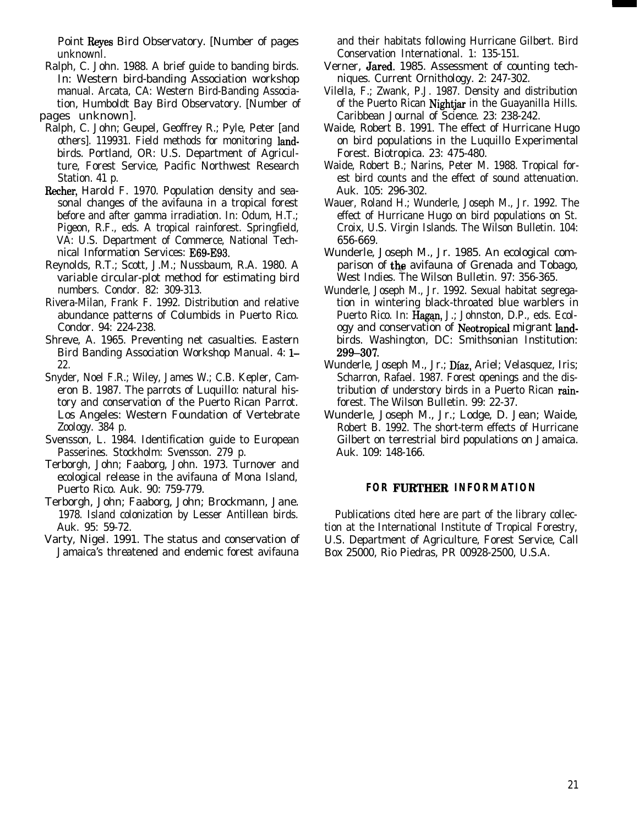Point Reyes Bird Observatory. [Number of pages unknownl.

- Ralph, C. John. 1988. A brief guide to banding birds. In: Western bird-banding Association workshop manual. Arcata, CA: Western Bird-Banding Association, Humboldt Bay Bird Observatory. [Number of pages unknown].
- Ralph, C. John; Geupel, Geoffrey R.; Pyle, Peter [and others]. 119931. Field methods for monitoring landbirds. Portland, OR: U.S. Department of Agriculture, Forest Service, Pacific Northwest Research Station. 41 p.
- Recher, Harold F. 1970. Population density and seasonal changes of the avifauna in a tropical forest before and after gamma irradiation. In: Odum, H.T.; Pigeon, R.F., eds. A tropical rainforest. Springfield, VA: U.S. Department of Commerce, National Technical Information Services: E69-E93.
- Reynolds, R.T.; Scott, J.M.; Nussbaum, R.A. 1980. A variable circular-plot method for estimating bird numbers. Condor. 82: 309-313.
- Rivera-Milan, Frank F. 1992. Distribution and relative abundance patterns of Columbids in Puerto Rico. Condor. 94: 224-238.
- Shreve, A. 1965. Preventing net casualties. Eastern Bird Banding Association Workshop Manual. 4: 1-22.
- Snyder, Noel F.R.; Wiley, James W.; C.B. Kepler, Cameron B. 1987. The parrots of Luquillo: natural history and conservation of the Puerto Rican Parrot. Los Angeles: Western Foundation of Vertebrate Zoology. 384 p.
- Svensson, L. 1984. Identification guide to European Passerines. Stockholm: Svensson. 279 p.
- Terborgh, John; Faaborg, John. 1973. Turnover and ecological release in the avifauna of Mona Island, Puerto Rico. Auk. 90: 759-779.
- Terborgh, John; Faaborg, John; Brockmann, Jane. 1978. Island colonization by Lesser Antillean birds. Auk. 95: 59-72.
- Varty, Nigel. 1991. The status and conservation of Jamaica's threatened and endemic forest avifauna

and their habitats following Hurricane Gilbert. Bird Conservation International. 1: 135-151.

- Verner, Jared. 1985. Assessment of counting techniques. Current Ornithology. 2: 247-302.
- Vilella, F.; Zwank, P.J. 1987. Density and distribution of the Puerto Rican Nightjar in the Guayanilla Hills. Caribbean Journal of Science. 23: 238-242.
- Waide, Robert B. 1991. The effect of Hurricane Hugo on bird populations in the Luquillo Experimental Forest. Biotropica. 23: 475-480.
- Waide, Robert B.; Narins, Peter M. 1988. Tropical forest bird counts and the effect of sound attenuation. Auk. 105: 296-302.
- Wauer, Roland H.; Wunderle, Joseph M., Jr. 1992. The effect of Hurricane Hugo on bird populations on St. Croix, U.S. Virgin Islands. The Wilson Bulletin. 104: 656-669.
- Wunderle, Joseph M., Jr. 1985. An ecological comparison of **the** avifauna of Grenada and Tobago, West Indies. The Wilson Bulletin. 97: 356-365.
- Wunderle, Joseph M., Jr. 1992. Sexual habitat segregation in wintering black-throated blue warblers in Puerto Rico. In: Hagan, J.; Johnston, D.P., eds. Ecology and conservation of Neotropical migrant landbirds. Washington, DC: Smithsonian Institution: 299-307.
- Wunderle, Joseph M., Jr.; Diaz, Ariel; Velasquez, Iris; Scharron, Rafael. 1987. Forest openings and the distribution of understory birds in a Puerto Rican rainforest. The Wilson Bulletin. 99: 22-37.
- Wunderle, Joseph M., Jr.; Lodge, D. Jean; Waide, Robert B. 1992. The short-term effects of Hurricane Gilbert on terrestrial bird populations on Jamaica. Auk. 109: 148-166.

## **FOR FURTHER INFORMATION**

Publications cited here are part of the library collection at the International Institute of Tropical Forestry, U.S. Department of Agriculture, Forest Service, Call Box 25000, Rio Piedras, PR 00928-2500, U.S.A.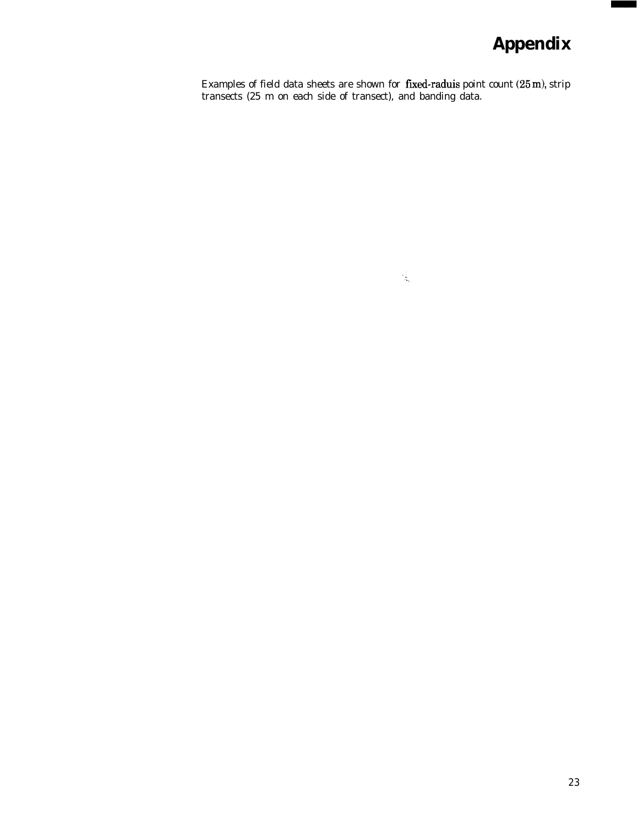# **Appendix**

Examples of field data sheets are shown for **fixed-raduis** point count  $(25 \text{ m})$ , strip transects (25 m on each side of transect), and banding data.

 $\mathcal{L}_{\mathbf{x}_i}$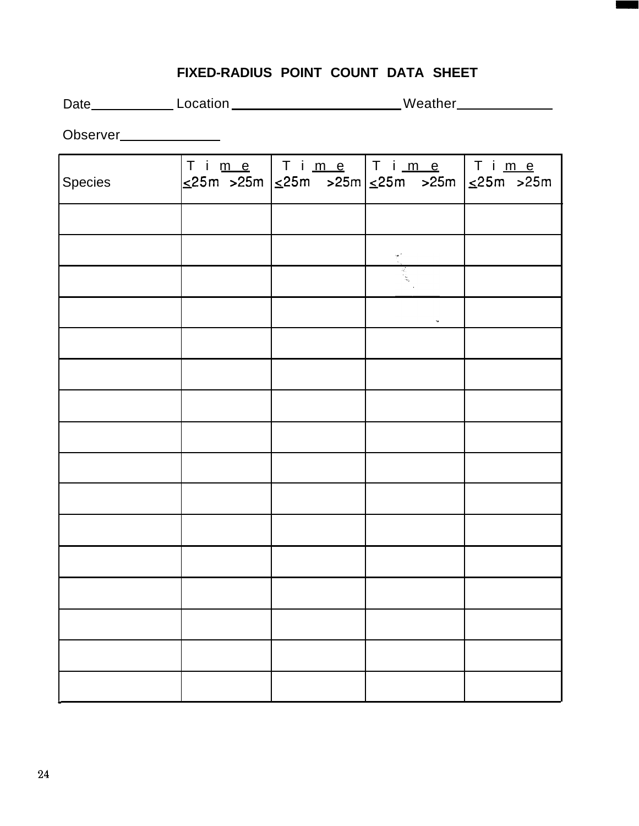# **FIXED-RADIUS POINT COUNT DATA SHEET**

Date\_\_\_\_\_\_\_\_\_\_\_\_Location \_\_\_\_\_\_\_\_\_\_\_\_\_\_\_\_\_\_\_\_\_\_\_\_\_Weather\_\_\_\_\_\_\_\_\_\_\_\_\_\_\_\_\_\_\_\_\_\_\_

Observer\_\_\_\_\_\_\_\_\_\_\_\_\_\_

| Species |  | Ti <u>me</u>   Ti <u>me</u>   Ti <u>me</u>   Ti <u>me</u><br>$\frac{1}{2}$ 25m $\frac{1}{2}$ 25m $\frac{1}{2}$ 25m $\frac{1}{2}$ 25m $\frac{1}{2}$ 25m $\frac{1}{2}$ 25m $\frac{1}{2}$ 25m |  |
|---------|--|--------------------------------------------------------------------------------------------------------------------------------------------------------------------------------------------|--|
|         |  |                                                                                                                                                                                            |  |
|         |  | terni<br>Sa                                                                                                                                                                                |  |
|         |  |                                                                                                                                                                                            |  |
|         |  | $\tilde{\phantom{a}}$                                                                                                                                                                      |  |
|         |  |                                                                                                                                                                                            |  |
|         |  |                                                                                                                                                                                            |  |
|         |  |                                                                                                                                                                                            |  |
|         |  |                                                                                                                                                                                            |  |
|         |  |                                                                                                                                                                                            |  |
|         |  |                                                                                                                                                                                            |  |
|         |  |                                                                                                                                                                                            |  |
|         |  |                                                                                                                                                                                            |  |
|         |  |                                                                                                                                                                                            |  |
|         |  |                                                                                                                                                                                            |  |
|         |  |                                                                                                                                                                                            |  |
|         |  |                                                                                                                                                                                            |  |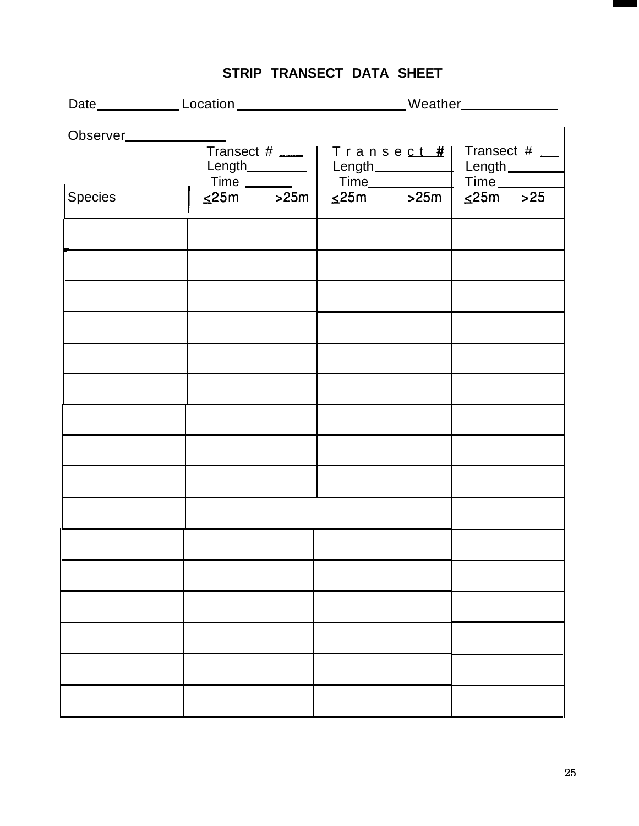|                                      |                                  |  | Date_____________Location____________________________Weather____________________ |                                                   |                           |  |  |  |  |
|--------------------------------------|----------------------------------|--|----------------------------------------------------------------------------------|---------------------------------------------------|---------------------------|--|--|--|--|
| $Transect # \_\_$<br>Length_________ |                                  |  | Transect#                                                                        | Transect $#$ $\_\_$<br>Length <sub>________</sub> |                           |  |  |  |  |
| <b>Species</b>                       | Time ________<br>$\leq$ 25m >25m |  | $Time$ $\qquad \qquad \qquad$                                                    | $\leq$ 25m >25m                                   | Time<br>$\leq$ 25m $>$ 25 |  |  |  |  |
|                                      |                                  |  |                                                                                  |                                                   |                           |  |  |  |  |
|                                      |                                  |  |                                                                                  |                                                   |                           |  |  |  |  |
|                                      |                                  |  |                                                                                  |                                                   |                           |  |  |  |  |
|                                      |                                  |  |                                                                                  |                                                   |                           |  |  |  |  |
|                                      |                                  |  |                                                                                  |                                                   |                           |  |  |  |  |
|                                      |                                  |  |                                                                                  |                                                   |                           |  |  |  |  |
|                                      |                                  |  |                                                                                  |                                                   |                           |  |  |  |  |
|                                      |                                  |  |                                                                                  |                                                   |                           |  |  |  |  |
|                                      |                                  |  |                                                                                  |                                                   |                           |  |  |  |  |
|                                      |                                  |  |                                                                                  |                                                   |                           |  |  |  |  |

# **STRIP TRANSECT DATA SHEET**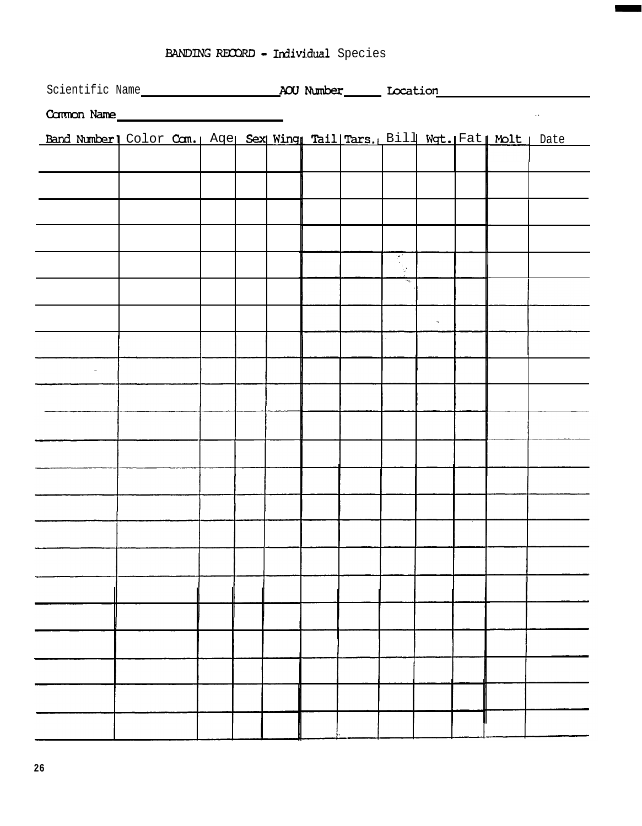|  |  |  | <b>BANDING RECORD - Individual</b> Species |  |
|--|--|--|--------------------------------------------|--|
|--|--|--|--------------------------------------------|--|

| BANDING RECORD - Individual Species                                                                                                                                                                             |  |  |  |  |  |  |  |                      |  |  |            |
|-----------------------------------------------------------------------------------------------------------------------------------------------------------------------------------------------------------------|--|--|--|--|--|--|--|----------------------|--|--|------------|
| Scientific Name <b>ACU Number</b> Moraldon Mumber Moraldon Mumber Moraldon Mumber Moraldon Mumber Moraldon Mumber Moraldon Mumber Moraldon Mumber Moraldon Mumber Moraldon Mumber Moraldon Mumber Moraldon 1999 |  |  |  |  |  |  |  |                      |  |  |            |
| Common Name                                                                                                                                                                                                     |  |  |  |  |  |  |  |                      |  |  | $\sim 100$ |
| Band Number] Color Com.   Age Sex Wing Tail Tars. Bill Wgt. Fat Molt   Date                                                                                                                                     |  |  |  |  |  |  |  |                      |  |  |            |
|                                                                                                                                                                                                                 |  |  |  |  |  |  |  |                      |  |  |            |
|                                                                                                                                                                                                                 |  |  |  |  |  |  |  |                      |  |  |            |
|                                                                                                                                                                                                                 |  |  |  |  |  |  |  |                      |  |  |            |
|                                                                                                                                                                                                                 |  |  |  |  |  |  |  |                      |  |  |            |
|                                                                                                                                                                                                                 |  |  |  |  |  |  |  |                      |  |  |            |
|                                                                                                                                                                                                                 |  |  |  |  |  |  |  |                      |  |  |            |
|                                                                                                                                                                                                                 |  |  |  |  |  |  |  | $\tilde{\mathbf{v}}$ |  |  |            |
|                                                                                                                                                                                                                 |  |  |  |  |  |  |  |                      |  |  |            |
|                                                                                                                                                                                                                 |  |  |  |  |  |  |  |                      |  |  |            |
|                                                                                                                                                                                                                 |  |  |  |  |  |  |  |                      |  |  |            |
|                                                                                                                                                                                                                 |  |  |  |  |  |  |  |                      |  |  |            |
|                                                                                                                                                                                                                 |  |  |  |  |  |  |  |                      |  |  |            |
|                                                                                                                                                                                                                 |  |  |  |  |  |  |  |                      |  |  |            |
|                                                                                                                                                                                                                 |  |  |  |  |  |  |  |                      |  |  |            |
|                                                                                                                                                                                                                 |  |  |  |  |  |  |  |                      |  |  |            |
|                                                                                                                                                                                                                 |  |  |  |  |  |  |  |                      |  |  |            |
|                                                                                                                                                                                                                 |  |  |  |  |  |  |  |                      |  |  |            |
|                                                                                                                                                                                                                 |  |  |  |  |  |  |  |                      |  |  |            |
|                                                                                                                                                                                                                 |  |  |  |  |  |  |  |                      |  |  |            |
|                                                                                                                                                                                                                 |  |  |  |  |  |  |  |                      |  |  |            |
|                                                                                                                                                                                                                 |  |  |  |  |  |  |  |                      |  |  |            |
|                                                                                                                                                                                                                 |  |  |  |  |  |  |  |                      |  |  |            |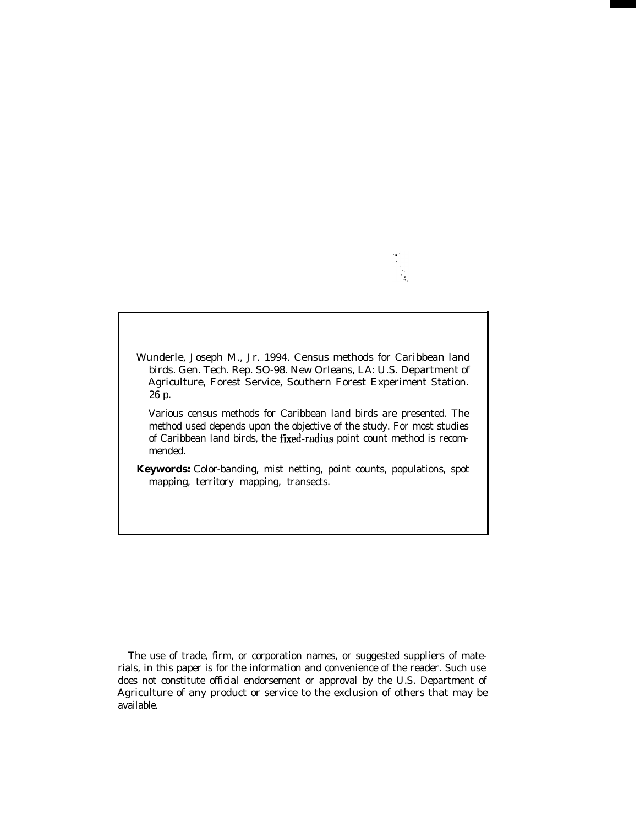Wunderle, Joseph M., Jr. 1994. Census methods for Caribbean land birds. Gen. Tech. Rep. SO-98. New Orleans, LA: U.S. Department of Agriculture, Forest Service, Southern Forest Experiment Station. 26 p.

Various census methods for Caribbean land birds are presented. The method used depends upon the objective of the study. For most studies of Caribbean land birds, the fixed-radius point count method is recommended.

**Keywords:** Color-banding, mist netting, point counts, populations, spot mapping, territory mapping, transects.

The use of trade, firm, or corporation names, or suggested suppliers of materials, in this paper is for the information and convenience of the reader. Such use does not constitute official endorsement or approval by the U.S. Department of Agriculture of any product or service to the exclusion of others that may be available.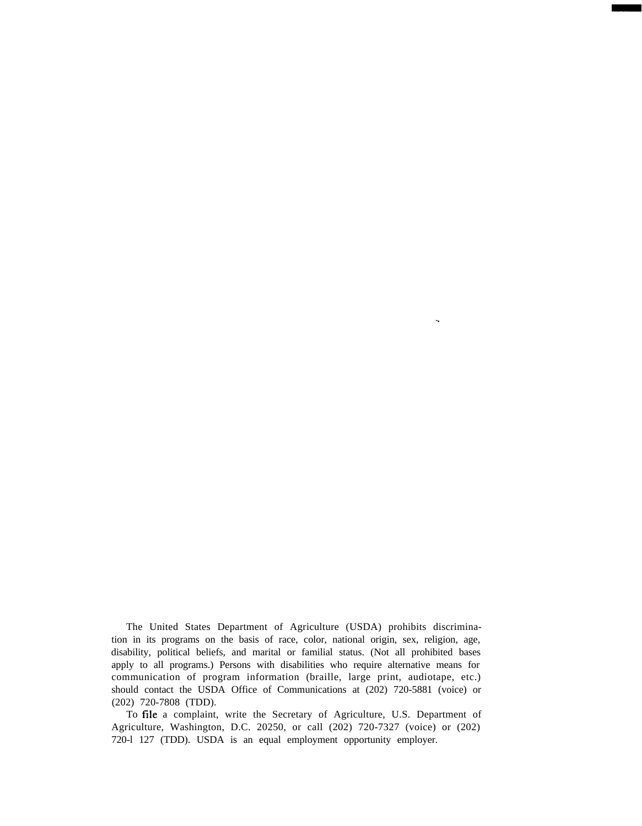The United States Department of Agriculture (USDA) prohibits discrimination in its programs on the basis of race, color, national origin, sex, religion, age, disability, political beliefs, and marital or familial status. (Not all prohibited bases apply to all programs.) Persons with disabilities who require alternative means for communication of program information (braille, large print, audiotape, etc.) should contact the USDA Office of Communications at (202) 720-5881 (voice) or (202) 720-7808 (TDD).

.

To file a complaint, write the Secretary of Agriculture, U.S. Department of Agriculture, Washington, D.C. 20250, or call (202) 720-7327 (voice) or (202) 720-l 127 (TDD). USDA is an equal employment opportunity employer.